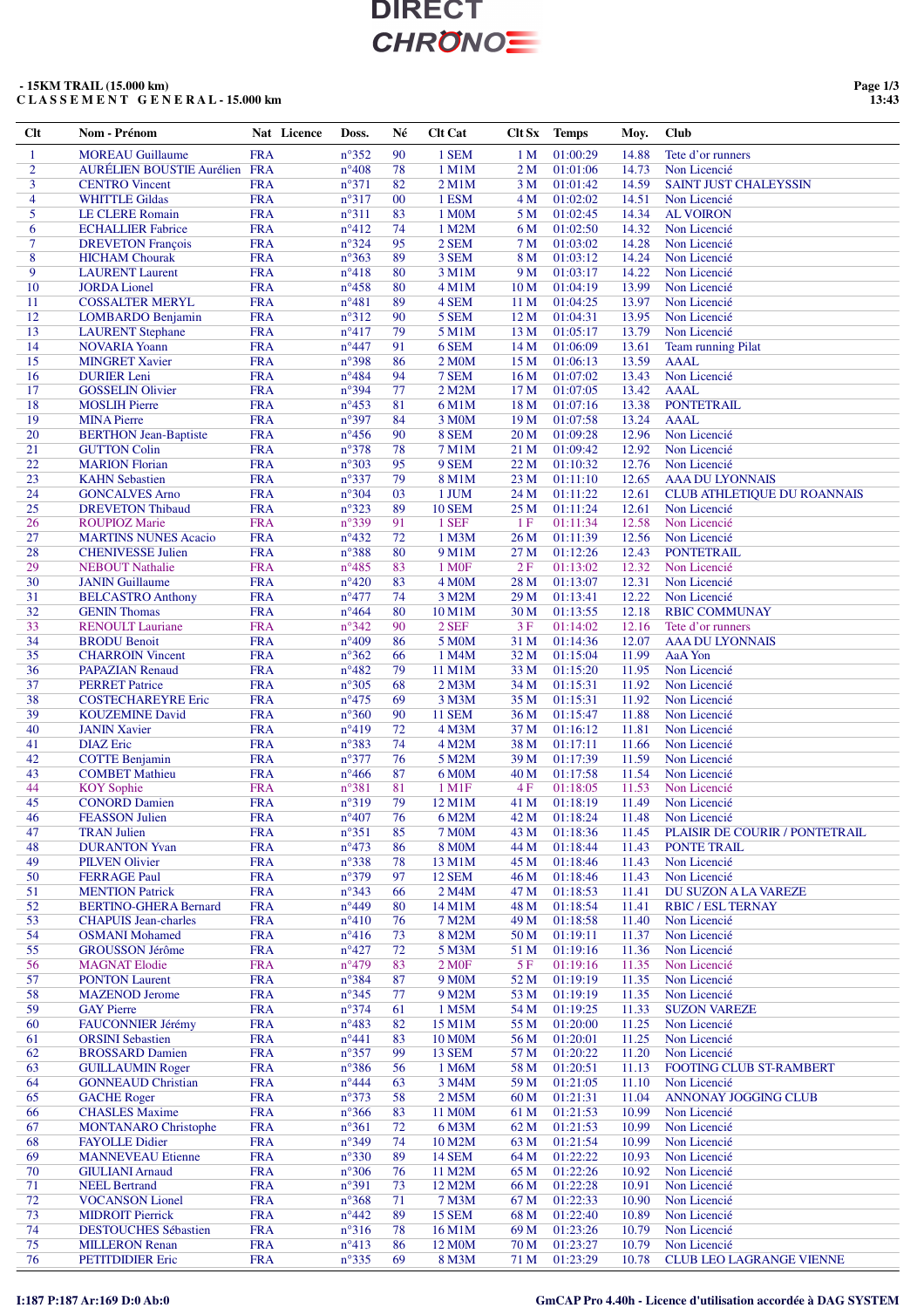### **- 15KM TRAIL (15.000 km) C L A S S E M E N T G E N E R A L - 15.000 km**

**Page 1/3 13:43**

| Clt            | Nom - Prénom                                       |            | Nat Licence | Doss.          | Né     | <b>Clt Cat</b>              | Clt Sx          | <b>Temps</b> | Moy.           | <b>Club</b>                            |
|----------------|----------------------------------------------------|------------|-------------|----------------|--------|-----------------------------|-----------------|--------------|----------------|----------------------------------------|
| $\mathbf{1}$   | <b>MOREAU Guillaume</b>                            | <b>FRA</b> |             | $n^{\circ}352$ | 90     | 1 SEM                       | 1 <sub>M</sub>  | 01:00:29     | 14.88          | Tete d'or runners                      |
| $\overline{2}$ | AURÉLIEN BOUSTIE Aurélien FRA                      |            |             | $n^{\circ}408$ | 78     | 1 M1M                       | 2 <sub>M</sub>  | 01:01:06     | 14.73          | Non Licencié                           |
| 3              | <b>CENTRO Vincent</b>                              | <b>FRA</b> |             | $n^{\circ}371$ | 82     | $2$ M $1$ M                 | 3M              | 01:01:42     | 14.59          | <b>SAINT JUST CHALEYSSIN</b>           |
| $\overline{4}$ | <b>WHITTLE Gildas</b>                              | <b>FRA</b> |             | $n^{\circ}317$ | $00\,$ | 1 ESM                       | 4 M             | 01:02:02     | 14.51          | Non Licencié                           |
| 5              | <b>LE CLERE Romain</b>                             | <b>FRA</b> |             | $n^{\circ}311$ | 83     | 1 M0M                       | 5 M             | 01:02:45     | 14.34          | <b>AL VOIRON</b>                       |
| 6              | <b>ECHALLIER Fabrice</b>                           | <b>FRA</b> |             | $n^{\circ}412$ | 74     | 1 M2M                       | 6 M             | 01:02:50     | 14.32          | Non Licencié                           |
| $\overline{7}$ | <b>DREVETON François</b>                           | <b>FRA</b> |             | $n^{\circ}324$ | 95     | 2 SEM                       | 7 M             | 01:03:02     | 14.28          | Non Licencié                           |
| 8              | <b>HICHAM Chourak</b>                              | <b>FRA</b> |             | $n^{\circ}363$ | 89     | 3 SEM                       | 8 M             | 01:03:12     | 14.24          | Non Licencié                           |
| 9              | <b>LAURENT</b> Laurent                             | <b>FRA</b> |             | $n^{\circ}418$ | 80     | 3 M1M                       | 9 M             | 01:03:17     | 14.22          | Non Licencié                           |
| 10             | <b>JORDA Lionel</b>                                | <b>FRA</b> |             | $n^{\circ}458$ | 80     | 4 M1M                       | 10 <sub>M</sub> | 01:04:19     | 13.99          | Non Licencié                           |
| 11             | <b>COSSALTER MERYL</b>                             | <b>FRA</b> |             | $n^{\circ}481$ | 89     | 4 SEM                       | 11 M            | 01:04:25     | 13.97          | Non Licencié                           |
| 12             | LOMBARDO Benjamin                                  | <b>FRA</b> |             | $n^{\circ}312$ | 90     | 5 SEM                       | 12 M            | 01:04:31     | 13.95          | Non Licencié                           |
| 13             | <b>LAURENT</b> Stephane                            | <b>FRA</b> |             | $n^{\circ}417$ | 79     | 5 M1M                       | 13 M            | 01:05:17     | 13.79          | Non Licencié                           |
| 14             | <b>NOVARIA Yoann</b>                               | <b>FRA</b> |             | $n^{\circ}447$ | 91     | 6 SEM                       | 14 M            | 01:06:09     | 13.61          | <b>Team running Pilat</b>              |
| 15             | <b>MINGRET Xavier</b>                              | <b>FRA</b> |             | n°398          | 86     | 2 M <sub>0</sub> M          | 15 M            | 01:06:13     | 13.59          | <b>AAAL</b>                            |
| 16             | <b>DURIER</b> Leni                                 | <b>FRA</b> |             | $n^{\circ}484$ | 94     | 7 SEM                       | 16 M            | 01:07:02     | 13.43          | Non Licencié                           |
| 17             | <b>GOSSELIN Olivier</b>                            | <b>FRA</b> |             | $n^{\circ}394$ | 77     | 2 M2M                       | 17 M            | 01:07:05     | 13.42          | <b>AAAL</b>                            |
| 18             |                                                    | <b>FRA</b> |             | $n^{\circ}453$ | 81     | 6 M1M                       | 18 M            | 01:07:16     | 13.38          | <b>PONTETRAIL</b>                      |
| 19             | <b>MOSLIH Pierre</b>                               | <b>FRA</b> |             | n°397          | 84     |                             | 19 <sub>M</sub> | 01:07:58     |                | <b>AAAL</b>                            |
| 20             | <b>MINA Pierre</b><br><b>BERTHON Jean-Baptiste</b> | <b>FRA</b> |             | $n^{\circ}456$ | 90     | 3 M <sub>0</sub> M<br>8 SEM | 20 M            | 01:09:28     | 13.24<br>12.96 | Non Licencié                           |
| 21             |                                                    | <b>FRA</b> |             |                | 78     | 7 M1M                       | 21 M            | 01:09:42     | 12.92          | Non Licencié                           |
|                | <b>GUTTON Colin</b>                                |            |             | $n^{\circ}378$ |        |                             |                 |              |                |                                        |
| $22\,$         | <b>MARION</b> Florian                              | <b>FRA</b> |             | $n^{\circ}303$ | 95     | 9 SEM<br><b>8 M1M</b>       | 22 M            | 01:10:32     | 12.76          | Non Licencié<br><b>AAA DU LYONNAIS</b> |
| 23             | <b>KAHN</b> Sebastien                              | <b>FRA</b> |             | $n^{\circ}337$ | 79     |                             | 23 M            | 01:11:10     | 12.65          |                                        |
| 24             | <b>GONCALVES Arno</b>                              | <b>FRA</b> |             | $n^{\circ}304$ | 03     | 1 JUM                       | 24 M            | 01:11:22     | 12.61          | <b>CLUB ATHLETIQUE DU ROANNAIS</b>     |
| 25             | <b>DREVETON Thibaud</b>                            | <b>FRA</b> |             | $n^{\circ}323$ | 89     | <b>10 SEM</b>               | 25 M            | 01:11:24     | 12.61          | Non Licencié                           |
| 26             | <b>ROUPIOZ Marie</b>                               | <b>FRA</b> |             | n°339          | 91     | 1 SEF                       | 1F              | 01:11:34     | 12.58          | Non Licencié                           |
| 27             | <b>MARTINS NUNES Acacio</b>                        | <b>FRA</b> |             | $n^{\circ}432$ | 72     | 1 M3M                       | 26 M            | 01:11:39     | 12.56          | Non Licencié                           |
| 28             | <b>CHENIVESSE Julien</b>                           | <b>FRA</b> |             | n°388          | 80     | 9 M1M                       | 27 M            | 01:12:26     | 12.43          | <b>PONTETRAIL</b>                      |
| 29             | <b>NEBOUT Nathalie</b>                             | <b>FRA</b> |             | $n^{\circ}485$ | 83     | 1 M <sub>OF</sub>           | 2F              | 01:13:02     | 12.32          | Non Licencié                           |
| 30             | <b>JANIN</b> Guillaume                             | <b>FRA</b> |             | $n^{\circ}420$ | 83     | 4 M <sub>O</sub> M          | 28 M            | 01:13:07     | 12.31          | Non Licencié                           |
| 31             | <b>BELCASTRO Anthony</b>                           | <b>FRA</b> |             | $n^{\circ}477$ | 74     | 3 M2M                       | 29 M            | 01:13:41     | 12.22          | Non Licencié                           |
| 32             | <b>GENIN Thomas</b>                                | <b>FRA</b> |             | $n^{\circ}464$ | 80     | 10 M1M                      | 30 M            | 01:13:55     | 12.18          | <b>RBIC COMMUNAY</b>                   |
| 33             | <b>RENOULT Lauriane</b>                            | <b>FRA</b> |             | $n^{\circ}342$ | 90     | 2 SEF                       | 3F              | 01:14:02     | 12.16          | Tete d'or runners                      |
| 34             | <b>BRODU Benoit</b>                                | <b>FRA</b> |             | $n^{\circ}409$ | 86     | 5 M0M                       | 31 M            | 01:14:36     | 12.07          | <b>AAA DU LYONNAIS</b>                 |
| 35             | <b>CHARROIN</b> Vincent                            | <b>FRA</b> |             | $n^{\circ}362$ | 66     | 1 M4M                       | 32 M            | 01:15:04     | 11.99          | AaA Yon                                |
| 36             | <b>PAPAZIAN Renaud</b>                             | <b>FRA</b> |             | $n^{\circ}482$ | 79     | 11 M1M                      | 33 M            | 01:15:20     | 11.95          | Non Licencié                           |
| 37             | <b>PERRET Patrice</b>                              | <b>FRA</b> |             | $n^{\circ}305$ | 68     | 2 M <sub>3</sub> M          | 34 M            | 01:15:31     | 11.92          | Non Licencié                           |
| 38             | <b>COSTECHAREYRE Eric</b>                          | <b>FRA</b> |             | $n^{\circ}475$ | 69     | 3 M3M                       | 35 M            | 01:15:31     | 11.92          | Non Licencié                           |
| 39             | <b>KOUZEMINE David</b>                             | <b>FRA</b> |             | $n^{\circ}360$ | 90     | <b>11 SEM</b>               | 36 M            | 01:15:47     | 11.88          | Non Licencié                           |
| 40             | <b>JANIN Xavier</b>                                | <b>FRA</b> |             | $n^{\circ}419$ | 72     | 4 M3M                       | 37 M            | 01:16:12     | 11.81          | Non Licencié                           |
| 41             | <b>DIAZ</b> Eric                                   | <b>FRA</b> |             | n°383          | 74     | 4 M2M                       | 38 M            | 01:17:11     | 11.66          | Non Licencié                           |
| 42             | <b>COTTE Benjamin</b>                              | <b>FRA</b> |             | $n^{\circ}377$ | 76     | 5 M2M                       | 39 M            | 01:17:39     | 11.59          | Non Licencié                           |
| 43             | <b>COMBET Mathieu</b>                              | <b>FRA</b> |             | $n^{\circ}466$ | 87     | 6 M <sub>0</sub> M          | 40 M            | 01:17:58     | 11.54          | Non Licencié                           |
| 44             | <b>KOY</b> Sophie                                  | <b>FRA</b> |             | $n^{\circ}381$ | 81     | 1 M1F                       | 4F              | 01:18:05     | 11.53          | Non Licencié                           |
| 45             | <b>CONORD Damien</b>                               | <b>FRA</b> |             | n°319          | 79     | 12 M1M                      | 41 M            | 01:18:19     | 11.49          | Non Licencié                           |
| 46             | <b>FEASSON Julien</b>                              | <b>FRA</b> |             | $n^{\circ}407$ | 76     | 6 M2M                       | 42 M            | 01:18:24     | 11.48          | Non Licencié                           |
| 47             | <b>TRAN Julien</b>                                 | <b>FRA</b> |             | $n^{\circ}351$ | 85     | <b>7 M0M</b>                | 43 M            | 01:18:36     | 11.45          | PLAISIR DE COURIR / PONTETRAIL         |
| 48             | <b>DURANTON Yvan</b>                               | <b>FRA</b> |             | $n^{\circ}473$ | 86     | <b>8 MOM</b>                | 44 M            | 01:18:44     | 11.43          | PONTE TRAIL                            |
| 49             | <b>PILVEN Olivier</b>                              | <b>FRA</b> |             | $n^{\circ}338$ | 78     | 13 M1M                      | 45 M            | 01:18:46     | 11.43          | Non Licencié                           |
| 50             | <b>FERRAGE Paul</b>                                | <b>FRA</b> |             | $n^{\circ}379$ | 97     | <b>12 SEM</b>               | 46 M            | 01:18:46     | 11.43          | Non Licencié                           |
| 51             | <b>MENTION Patrick</b>                             | <b>FRA</b> |             | $n^{\circ}343$ | 66     | 2 M4M                       | 47 M            | 01:18:53     | 11.41          | DU SUZON A LA VAREZE                   |
| 52             | <b>BERTINO-GHERA Bernard</b>                       | <b>FRA</b> |             | $n^{\circ}449$ | 80     | 14 M1M                      | 48 M            | 01:18:54     | 11.41          | <b>RBIC / ESL TERNAY</b>               |
| 53             | <b>CHAPUIS Jean-charles</b>                        | <b>FRA</b> |             | $n^{\circ}410$ | 76     | 7 M2M                       | 49 M            | 01:18:58     | 11.40          | Non Licencié                           |
| 54             | <b>OSMANI</b> Mohamed                              | <b>FRA</b> |             | $n^{\circ}416$ | 73     | 8 M2M                       | 50 M            | 01:19:11     | 11.37          | Non Licencié                           |
| 55             | <b>GROUSSON Jérôme</b>                             | <b>FRA</b> |             | $n^{\circ}427$ | 72     | 5 M3M                       | 51 M            | 01:19:16     | 11.36          | Non Licencié                           |
| 56             | <b>MAGNAT Elodie</b>                               | <b>FRA</b> |             | $n^{\circ}479$ | 83     | 2 M0F                       | 5 F             | 01:19:16     | 11.35          | Non Licencié                           |
| 57             | <b>PONTON Laurent</b>                              | <b>FRA</b> |             | n°384          | 87     | 9 M <sub>0</sub> M          | 52 M            | 01:19:19     | 11.35          | Non Licencié                           |
| 58             | <b>MAZENOD</b> Jerome                              | <b>FRA</b> |             | $n^{\circ}345$ | 77     | 9 M2M                       | 53 M            | 01:19:19     | 11.35          | Non Licencié                           |
| 59             | <b>GAY Pierre</b>                                  | <b>FRA</b> |             | $n^{\circ}374$ | 61     | 1 M5M                       | 54 M            | 01:19:25     | 11.33          | <b>SUZON VAREZE</b>                    |
| 60             | FAUCONNIER Jérémy                                  | <b>FRA</b> |             | $n^{\circ}483$ | 82     | 15 M1M                      | 55 M            | 01:20:00     | 11.25          | Non Licencié                           |
| 61             | <b>ORSINI</b> Sebastien                            | <b>FRA</b> |             | $n^{\circ}441$ | 83     | 10 M <sub>O</sub> M         | 56 M            | 01:20:01     | 11.25          | Non Licencié                           |
| 62             | <b>BROSSARD Damien</b>                             | <b>FRA</b> |             | $n^{\circ}357$ | 99     | <b>13 SEM</b>               | 57 M            | 01:20:22     | 11.20          | Non Licencié                           |
| 63             | <b>GUILLAUMIN Roger</b>                            | <b>FRA</b> |             | $n^{\circ}386$ | 56     | 1 M6M                       | 58 M            | 01:20:51     | 11.13          | FOOTING CLUB ST-RAMBERT                |
| 64             | <b>GONNEAUD Christian</b>                          | <b>FRA</b> |             | $n^{\circ}444$ | 63     | 3 M4M                       | 59 M            | 01:21:05     | 11.10          | Non Licencié                           |
| 65             |                                                    | <b>FRA</b> |             |                | 58     | 2 M5M                       | 60 M            | 01:21:31     |                | <b>ANNONAY JOGGING CLUB</b>            |
|                | <b>GACHE</b> Roger                                 |            |             | $n^{\circ}373$ |        |                             |                 |              | 11.04          |                                        |
| 66             | <b>CHASLES Maxime</b>                              | <b>FRA</b> |             | $n^{\circ}366$ | 83     | 11 M0M                      | 61 M            | 01:21:53     | 10.99          | Non Licencié                           |
| 67             | <b>MONTANARO</b> Christophe                        | <b>FRA</b> |             | $n^{\circ}361$ | 72     | 6 M3M                       | 62 M            | 01:21:53     | 10.99          | Non Licencié                           |
| 68             | <b>FAYOLLE Didier</b>                              | <b>FRA</b> |             | $n^{\circ}349$ | 74     | 10 M2M                      | 63 M            | 01:21:54     | 10.99          | Non Licencié                           |
| 69             | <b>MANNEVEAU</b> Etienne                           | <b>FRA</b> |             | $n^{\circ}330$ | 89     | <b>14 SEM</b>               | 64 M            | 01:22:22     | 10.93          | Non Licencié                           |
| 70             | <b>GIULIANI Arnaud</b>                             | <b>FRA</b> |             | $n^{\circ}306$ | 76     | 11 M2M                      | 65 M            | 01:22:26     | 10.92          | Non Licencié                           |
| 71             | <b>NEEL Bertrand</b>                               | <b>FRA</b> |             | n°391          | 73     | 12 M2M                      | 66 M            | 01:22:28     | 10.91          | Non Licencié                           |
| 72             | <b>VOCANSON</b> Lionel                             | <b>FRA</b> |             | $n^{\circ}368$ | 71     | 7 M3M                       | 67 M            | 01:22:33     | 10.90          | Non Licencié                           |
| 73             | <b>MIDROIT Pierrick</b>                            | <b>FRA</b> |             | $n^{\circ}442$ | 89     | <b>15 SEM</b>               | 68 M            | 01:22:40     | 10.89          | Non Licencié                           |
| 74             | <b>DESTOUCHES Sébastien</b>                        | <b>FRA</b> |             | $n^{\circ}316$ | 78     | 16 M1M                      | 69 M            | 01:23:26     | 10.79          | Non Licencié                           |
| 75             | <b>MILLERON Renan</b>                              | <b>FRA</b> |             | $n^{\circ}413$ | 86     | 12 M <sub>0</sub> M         | 70 M            | 01:23:27     | 10.79          | Non Licencié                           |
| 76             | <b>PETITDIDIER Eric</b>                            | <b>FRA</b> |             | $n^{\circ}335$ | 69     | 8 M3M                       | 71 M            | 01:23:29     | 10.78          | <b>CLUB LEO LAGRANGE VIENNE</b>        |

### **I:187 P:187 Ar:169 D:0 Ab:0 GmCAP Pro 4.40h - Licence d'utilisation accordée à DAG SYSTEM**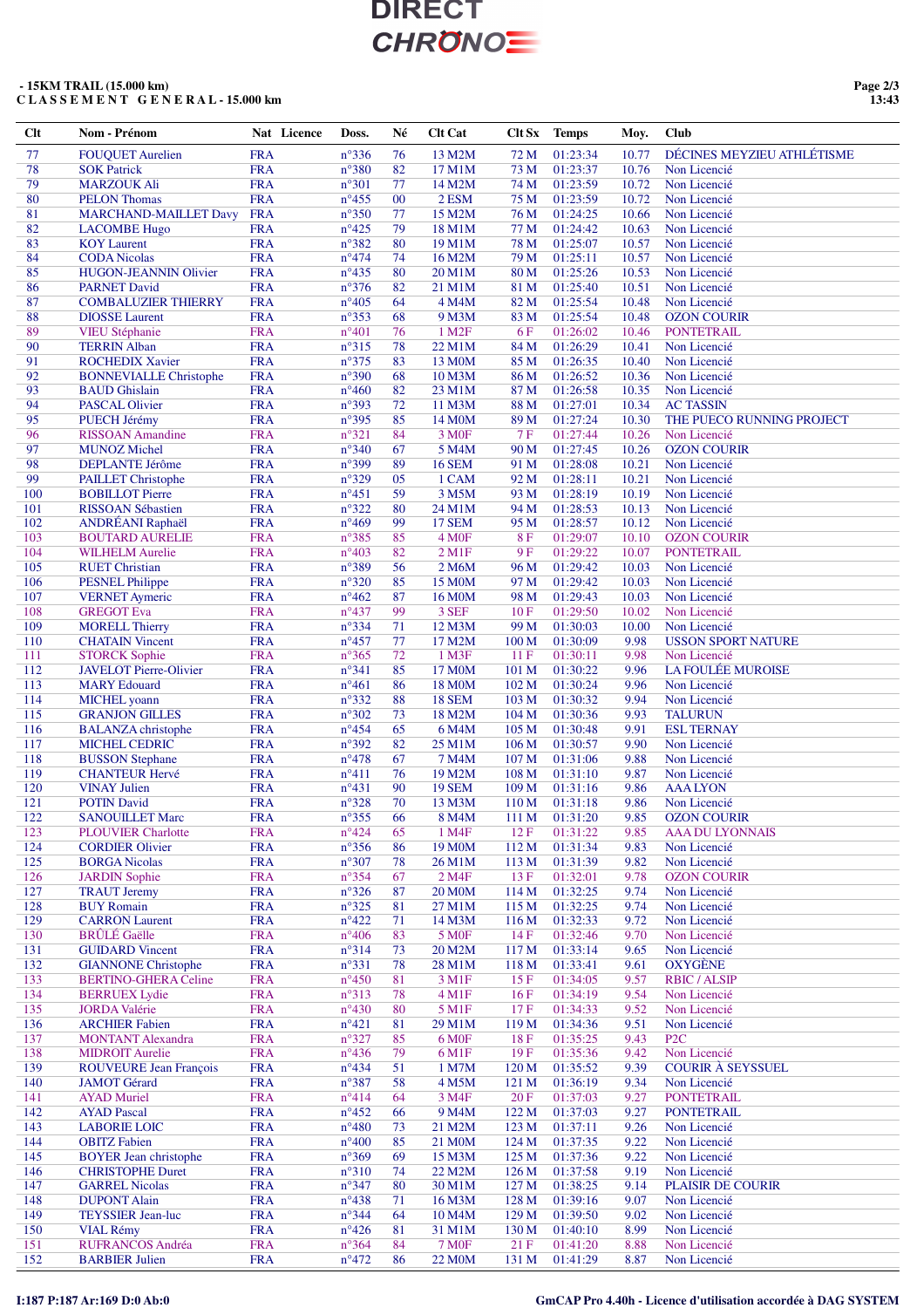### **- 15KM TRAIL (15.000 km) C L A S S E M E N T G E N E R A L - 15.000 km**

| Clt | Nom - Prénom                  | Nat Licence | Doss.          | Né | <b>Clt Cat</b>      | Clt Sx           | <b>Temps</b> | Moy.  | <b>Club</b>                |
|-----|-------------------------------|-------------|----------------|----|---------------------|------------------|--------------|-------|----------------------------|
| 77  | <b>FOUQUET Aurelien</b>       | <b>FRA</b>  | $n^{\circ}336$ | 76 | 13 M2M              | 72 M             | 01:23:34     | 10.77 | DÉCINES MEYZIEU ATHLÉTISME |
| 78  | <b>SOK Patrick</b>            | <b>FRA</b>  | $n^{\circ}380$ | 82 | 17 M1M              | 73 M             | 01:23:37     | 10.76 | Non Licencié               |
| 79  | <b>MARZOUK Ali</b>            | <b>FRA</b>  | $n^{\circ}301$ | 77 | 14 M2M              | 74 M             | 01:23:59     | 10.72 | Non Licencié               |
|     |                               |             |                |    |                     |                  |              |       |                            |
| 80  | <b>PELON Thomas</b>           | <b>FRA</b>  | $n^{\circ}455$ | 00 | 2 ESM               | 75 M             | 01:23:59     | 10.72 | Non Licencié               |
| 81  | <b>MARCHAND-MAILLET Davy</b>  | <b>FRA</b>  | $n^{\circ}350$ | 77 | 15 M2M              | 76 M             | 01:24:25     | 10.66 | Non Licencié               |
| 82  | <b>LACOMBE</b> Hugo           | <b>FRA</b>  | $n^{\circ}425$ | 79 | 18 M1M              | 77 M             | 01:24:42     | 10.63 | Non Licencié               |
| 83  | <b>KOY Laurent</b>            | <b>FRA</b>  | $n^{\circ}382$ | 80 | 19 M1M              | 78 M             | 01:25:07     | 10.57 | Non Licencié               |
| 84  | <b>CODA</b> Nicolas           | <b>FRA</b>  | $n^{\circ}474$ | 74 | 16 M2M              | 79 M             | 01:25:11     | 10.57 | Non Licencié               |
| 85  | HUGON-JEANNIN Olivier         | <b>FRA</b>  | $n^{\circ}435$ | 80 | 20 M1M              | 80 M             | 01:25:26     | 10.53 | Non Licencié               |
| 86  | <b>PARNET David</b>           | <b>FRA</b>  | $n^{\circ}376$ | 82 | 21 M1M              | 81 M             | 01:25:40     | 10.51 | Non Licencié               |
| 87  | <b>COMBALUZIER THIERRY</b>    | <b>FRA</b>  | $n^{\circ}405$ | 64 | 4 M4M               | 82 M             | 01:25:54     | 10.48 | Non Licencié               |
| 88  | <b>DIOSSE</b> Laurent         | <b>FRA</b>  | $n^{\circ}353$ | 68 | 9 M3M               | 83 M             | 01:25:54     | 10.48 | <b>OZON COURIR</b>         |
| 89  |                               |             |                | 76 |                     |                  |              |       |                            |
|     | <b>VIEU Stéphanie</b>         | <b>FRA</b>  | $n^{\circ}401$ |    | 1 M <sub>2</sub> F  | <b>6F</b>        | 01:26:02     | 10.46 | <b>PONTETRAIL</b>          |
| 90  | <b>TERRIN Alban</b>           | <b>FRA</b>  | $n^{\circ}315$ | 78 | 22 M1M              | 84 M             | 01:26:29     | 10.41 | Non Licencié               |
| 91  | <b>ROCHEDIX Xavier</b>        | <b>FRA</b>  | $n^{\circ}375$ | 83 | 13 M <sub>0</sub> M | 85 M             | 01:26:35     | 10.40 | Non Licencié               |
| 92  | <b>BONNEVIALLE Christophe</b> | <b>FRA</b>  | $n^{\circ}390$ | 68 | 10 M3M              | 86 M             | 01:26:52     | 10.36 | Non Licencié               |
| 93  | <b>BAUD</b> Ghislain          | <b>FRA</b>  | $n^{\circ}460$ | 82 | 23 M1M              | 87 M             | 01:26:58     | 10.35 | Non Licencié               |
| 94  | <b>PASCAL Olivier</b>         | <b>FRA</b>  | n°393          | 72 | 11 M3M              | 88 M             | 01:27:01     | 10.34 | <b>AC TASSIN</b>           |
| 95  | PUECH Jérémy                  | <b>FRA</b>  | $n^{\circ}395$ | 85 | 14 M <sub>0</sub> M | 89 M             | 01:27:24     | 10.30 | THE PUECO RUNNING PROJECT  |
| 96  | <b>RISSOAN</b> Amandine       | <b>FRA</b>  | $n^{\circ}321$ | 84 | 3 M <sub>OF</sub>   | 7F               | 01:27:44     | 10.26 | Non Licencié               |
| 97  | <b>MUNOZ Michel</b>           | <b>FRA</b>  | $n^{\circ}340$ | 67 | 5 M4M               | 90 M             | 01:27:45     | 10.26 | <b>OZON COURIR</b>         |
| 98  | <b>DEPLANTE Jérôme</b>        | <b>FRA</b>  | n°399          | 89 | <b>16 SEM</b>       | 91 M             | 01:28:08     | 10.21 | Non Licencié               |
| 99  |                               | <b>FRA</b>  | $n^{\circ}329$ | 05 | 1 CAM               | 92 M             | 01:28:11     | 10.21 | Non Licencié               |
|     | <b>PAILLET Christophe</b>     |             |                |    |                     |                  |              |       |                            |
| 100 | <b>BOBILLOT</b> Pierre        | <b>FRA</b>  | $n^{\circ}451$ | 59 | 3 M5M               | 93 M             | 01:28:19     | 10.19 | Non Licencié               |
| 101 | <b>RISSOAN Sébastien</b>      | <b>FRA</b>  | $n^{\circ}322$ | 80 | 24 M1M              | 94 M             | 01:28:53     | 10.13 | Non Licencié               |
| 102 | <b>ANDRÉANI Raphaël</b>       | <b>FRA</b>  | $n^{\circ}469$ | 99 | <b>17 SEM</b>       | 95 M             | 01:28:57     | 10.12 | Non Licencié               |
| 103 | <b>BOUTARD AURELIE</b>        | <b>FRA</b>  | n°385          | 85 | 4 M <sub>OF</sub>   | 8F               | 01:29:07     | 10.10 | <b>OZON COURIR</b>         |
| 104 | <b>WILHELM Aurelie</b>        | <b>FRA</b>  | $n^{\circ}403$ | 82 | $2$ M $1F$          | 9F               | 01:29:22     | 10.07 | <b>PONTETRAIL</b>          |
| 105 | <b>RUET Christian</b>         | <b>FRA</b>  | n°389          | 56 | 2 M6M               | 96 M             | 01:29:42     | 10.03 | Non Licencié               |
| 106 | <b>PESNEL Philippe</b>        | <b>FRA</b>  | $n^{\circ}320$ | 85 | 15 M0M              | 97 M             | 01:29:42     | 10.03 | Non Licencié               |
| 107 | <b>VERNET</b> Aymeric         | <b>FRA</b>  | $n^{\circ}462$ | 87 | 16 M <sub>0</sub> M | 98 M             | 01:29:43     | 10.03 | Non Licencié               |
| 108 | <b>GREGOT Eva</b>             | <b>FRA</b>  | $n^{\circ}437$ | 99 | 3 SEF               | 10F              | 01:29:50     | 10.02 | Non Licencié               |
|     |                               |             |                |    |                     |                  |              |       |                            |
| 109 | <b>MORELL Thierry</b>         | <b>FRA</b>  | $n^{\circ}334$ | 71 | 12 M3M              | 99 M             | 01:30:03     | 10.00 | Non Licencié               |
| 110 | <b>CHATAIN Vincent</b>        | <b>FRA</b>  | $n^{\circ}457$ | 77 | 17 M2M              | 100 M            | 01:30:09     | 9.98  | <b>USSON SPORT NATURE</b>  |
| 111 | <b>STORCK Sophie</b>          | <b>FRA</b>  | $n^{\circ}365$ | 72 | 1 M3F               | 11F              | 01:30:11     | 9.98  | Non Licencié               |
| 112 | <b>JAVELOT Pierre-Olivier</b> | <b>FRA</b>  | $n^{\circ}341$ | 85 | 17 M0M              | 101 M            | 01:30:22     | 9.96  | LA FOULÉE MUROISE          |
| 113 | <b>MARY Edouard</b>           | <b>FRA</b>  | $n^{\circ}461$ | 86 | 18 M <sub>0</sub> M | 102 M            | 01:30:24     | 9.96  | Non Licencié               |
| 114 | MICHEL yoann                  | <b>FRA</b>  | $n^{\circ}332$ | 88 | <b>18 SEM</b>       | 103 <sub>M</sub> | 01:30:32     | 9.94  | Non Licencié               |
| 115 | <b>GRANJON GILLES</b>         | <b>FRA</b>  | $n^{\circ}302$ | 73 | 18 M2M              | 104 M            | 01:30:36     | 9.93  | <b>TALURUN</b>             |
| 116 | <b>BALANZA</b> christophe     | <b>FRA</b>  | $n^{\circ}454$ | 65 | 6 M4M               | 105 M            | 01:30:48     | 9.91  | <b>ESL TERNAY</b>          |
| 117 | <b>MICHEL CEDRIC</b>          | <b>FRA</b>  | n°392          | 82 | 25 M1M              | 106 M            | 01:30:57     | 9.90  | Non Licencié               |
| 118 | <b>BUSSON</b> Stephane        | <b>FRA</b>  | $n^{\circ}478$ | 67 | 7 M4M               | 107 M            | 01:31:06     | 9.88  | Non Licencié               |
|     |                               |             |                | 76 |                     |                  |              |       |                            |
| 119 | <b>CHANTEUR Hervé</b>         | <b>FRA</b>  | $n^{\circ}411$ |    | 19 M2M              | 108 M            | 01:31:10     | 9.87  | Non Licencié               |
| 120 | <b>VINAY Julien</b>           | <b>FRA</b>  | $n^{\circ}431$ | 90 | <b>19 SEM</b>       | 109 M            | 01:31:16     | 9.86  | <b>AAALYON</b>             |
| 121 | <b>POTIN David</b>            | <b>FRA</b>  | $n^{\circ}328$ | 70 | 13 M3M              | 110 <sub>M</sub> | 01:31:18     | 9.86  | Non Licencié               |
| 122 | <b>SANOUILLET Marc</b>        | <b>FRA</b>  | $n^{\circ}355$ | 66 | 8 M4M               | 111 M            | 01:31:20     | 9.85  | <b>OZON COURIR</b>         |
| 123 | <b>PLOUVIER Charlotte</b>     | <b>FRA</b>  | $n^{\circ}424$ | 65 | 1 M4F               | 12F              | 01:31:22     | 9.85  | <b>AAA DU LYONNAIS</b>     |
| 124 | <b>CORDIER Olivier</b>        | <b>FRA</b>  | $n^{\circ}356$ | 86 | 19 M <sub>0</sub> M | 112 M            | 01:31:34     | 9.83  | Non Licencié               |
| 125 | <b>BORGA</b> Nicolas          | <b>FRA</b>  | $n^{\circ}307$ | 78 | 26 M1M              | 113 M            | 01:31:39     | 9.82  | Non Licencié               |
| 126 | <b>JARDIN Sophie</b>          | <b>FRA</b>  | $n^{\circ}354$ | 67 | 2 M4F               | 13F              | 01:32:01     | 9.78  | <b>OZON COURIR</b>         |
| 127 | <b>TRAUT Jeremy</b>           | <b>FRA</b>  | $n^{\circ}326$ | 87 | <b>20 M0M</b>       | 114 M            | 01:32:25     | 9.74  | Non Licencié               |
| 128 | <b>BUY Romain</b>             | <b>FRA</b>  |                |    | 27 M1M              | 115 M            |              |       | Non Licencié               |
|     |                               |             | $n^{\circ}325$ | 81 |                     |                  | 01:32:25     | 9.74  |                            |
| 129 | <b>CARRON Laurent</b>         | <b>FRA</b>  | $n^{\circ}422$ | 71 | 14 M3M              | 116 M            | 01:32:33     | 9.72  | Non Licencié               |
| 130 | <b>BRÛLÉ</b> Gaëlle           | <b>FRA</b>  | $n^{\circ}406$ | 83 | 5 M <sub>OF</sub>   | 14F              | 01:32:46     | 9.70  | Non Licencié               |
| 131 | <b>GUIDARD Vincent</b>        | <b>FRA</b>  | $n^{\circ}314$ | 73 | 20 M2M              | 117M             | 01:33:14     | 9.65  | Non Licencié               |
| 132 | <b>GIANNONE Christophe</b>    | <b>FRA</b>  | $n^{\circ}331$ | 78 | 28 M1M              | 118 M            | 01:33:41     | 9.61  | <b>OXYGÈNE</b>             |
| 133 | <b>BERTINO-GHERA Celine</b>   | <b>FRA</b>  | $n^{\circ}450$ | 81 | 3 M1F               | 15F              | 01:34:05     | 9.57  | <b>RBIC/ALSIP</b>          |
| 134 | <b>BERRUEX Lydie</b>          | <b>FRA</b>  | $n^{\circ}313$ | 78 | $4$ M1F             | 16F              | 01:34:19     | 9.54  | Non Licencié               |
| 135 | <b>JORDA</b> Valérie          | <b>FRA</b>  | $n^{\circ}430$ | 80 | 5 M1F               | 17F              | 01:34:33     | 9.52  | Non Licencié               |
| 136 | <b>ARCHIER Fabien</b>         | <b>FRA</b>  | $n^{\circ}421$ | 81 | 29 M1M              | 119 M            | 01:34:36     | 9.51  | Non Licencié               |
| 137 | <b>MONTANT Alexandra</b>      | <b>FRA</b>  | $n^{\circ}327$ | 85 | 6 M <sub>OF</sub>   | 18F              | 01:35:25     | 9.43  | P <sub>2C</sub>            |
| 138 | <b>MIDROIT Aurelie</b>        | <b>FRA</b>  | $n^{\circ}436$ | 79 | 6 M1F               | 19F              | 01:35:36     | 9.42  | Non Licencié               |
|     |                               |             |                |    |                     |                  |              |       |                            |
| 139 | <b>ROUVEURE Jean François</b> | <b>FRA</b>  | $n^{\circ}434$ | 51 | 1 M7M               | 120 M            | 01:35:52     | 9.39  | <b>COURIR À SEYSSUEL</b>   |
| 140 | <b>JAMOT</b> Gérard           | <b>FRA</b>  | $n^{\circ}387$ | 58 | 4 M5M               | 121 M            | 01:36:19     | 9.34  | Non Licencié               |
| 141 | <b>AYAD</b> Muriel            | <b>FRA</b>  | $n^{\circ}414$ | 64 | 3 M4F               | 20F              | 01:37:03     | 9.27  | <b>PONTETRAIL</b>          |
| 142 | <b>AYAD Pascal</b>            | <b>FRA</b>  | $n^{\circ}452$ | 66 | 9 M4M               | 122 M            | 01:37:03     | 9.27  | <b>PONTETRAIL</b>          |
| 143 | <b>LABORIE LOIC</b>           | <b>FRA</b>  | $n^{\circ}480$ | 73 | 21 M2M              | 123 M            | 01:37:11     | 9.26  | Non Licencié               |
| 144 | <b>OBITZ</b> Fabien           | <b>FRA</b>  | $n^{\circ}400$ | 85 | 21 M <sub>0</sub> M | 124M             | 01:37:35     | 9.22  | Non Licencié               |
| 145 | <b>BOYER</b> Jean christophe  | <b>FRA</b>  | $n^{\circ}369$ | 69 | 15 M3M              | 125 <sub>M</sub> | 01:37:36     | 9.22  | Non Licencié               |
| 146 | <b>CHRISTOPHE Duret</b>       | <b>FRA</b>  | $n^{\circ}310$ | 74 | 22 M2M              | 126 M            | 01:37:58     | 9.19  | Non Licencié               |
| 147 | <b>GARREL Nicolas</b>         | <b>FRA</b>  | $n^{\circ}347$ | 80 | 30 M1M              | 127 <sub>M</sub> | 01:38:25     | 9.14  | <b>PLAISIR DE COURIR</b>   |
| 148 |                               |             | $n^{\circ}438$ |    | 16 M3M              | 128 M            |              |       |                            |
|     | <b>DUPONT Alain</b>           | <b>FRA</b>  |                | 71 |                     |                  | 01:39:16     | 9.07  | Non Licencié               |
| 149 | <b>TEYSSIER Jean-luc</b>      | <b>FRA</b>  | $n^{\circ}344$ | 64 | 10 M4M              | 129 M            | 01:39:50     | 9.02  | Non Licencié               |
| 150 | <b>VIAL Rémy</b>              | <b>FRA</b>  | $n^{\circ}426$ | 81 | 31 M1M              | 130 M            | 01:40:10     | 8.99  | Non Licencié               |
| 151 | <b>RUFRANCOS Andréa</b>       | <b>FRA</b>  | $n^{\circ}364$ | 84 | <b>7 MOF</b>        | 21F              | 01:41:20     | 8.88  | Non Licencié               |
| 152 | <b>BARBIER Julien</b>         | <b>FRA</b>  | $n^{\circ}472$ | 86 | 22 M <sub>0</sub> M | 131 M            | 01:41:29     | 8.87  | Non Licencié               |

### **I:187 P:187 Ar:169 D:0 Ab:0 GmCAP Pro 4.40h - Licence d'utilisation accordée à DAG SYSTEM**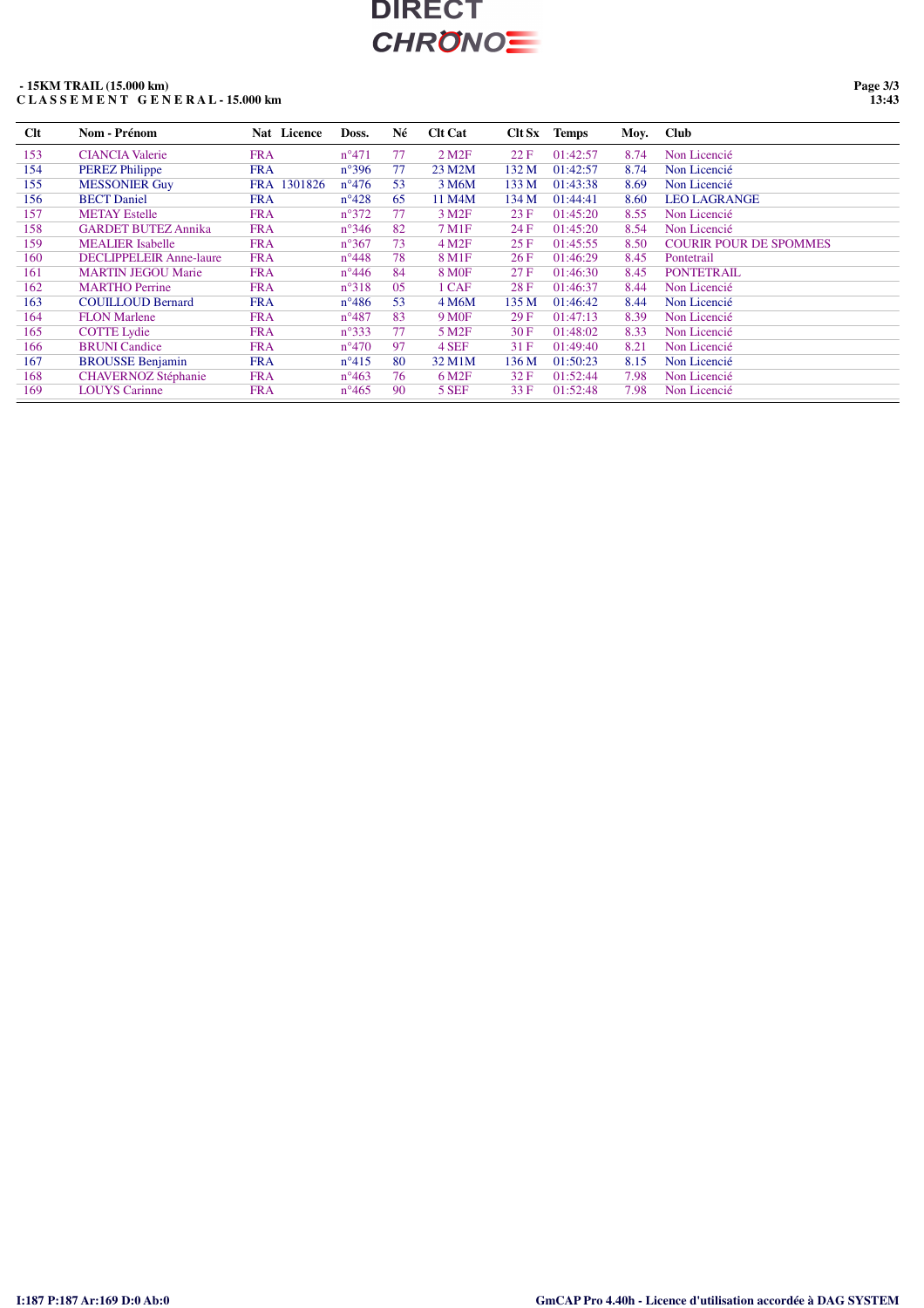### **- 15KM TRAIL (15.000 km) C L A S S E M E N T G E N E R A L - 15.000 km**

**Page 3/3 13:43**

| Clt | Nom - Prénom                   | Nat Licence | Doss.          | Né | <b>Clt Cat</b>         | Clt Sx           | <b>Temps</b> | Moy. | <b>Club</b>                   |
|-----|--------------------------------|-------------|----------------|----|------------------------|------------------|--------------|------|-------------------------------|
| 153 | <b>CIANCIA Valerie</b>         | <b>FRA</b>  | $n^{\circ}471$ | 77 | $2$ M <sub>2</sub> $F$ | 22 F             | 01:42:57     | 8.74 | Non Licencié                  |
| 154 | <b>PEREZ Philippe</b>          | <b>FRA</b>  | $n^{\circ}396$ | 77 | 23 M2M                 | 132 M            | 01:42:57     | 8.74 | Non Licencié                  |
| 155 | <b>MESSONIER Guy</b>           | FRA 1301826 | $n^{\circ}476$ | 53 | 3 M6M                  | 133 M            | 01:43:38     | 8.69 | Non Licencié                  |
| 156 | <b>BECT</b> Daniel             | <b>FRA</b>  | $n^{\circ}428$ | 65 | 11 M4M                 | 134 M            | 01:44:41     | 8.60 | <b>LEO LAGRANGE</b>           |
| 157 | <b>METAY</b> Estelle           | <b>FRA</b>  | $n^{\circ}372$ | 77 | 3 M <sub>2F</sub>      | 23 F             | 01:45:20     | 8.55 | Non Licencié                  |
| 158 | <b>GARDET BUTEZ Annika</b>     | <b>FRA</b>  | $n^{\circ}346$ | 82 | 7 M1F                  | 24 F             | 01:45:20     | 8.54 | Non Licencié                  |
| 159 | <b>MEALIER</b> Isabelle        | <b>FRA</b>  | $n^{\circ}367$ | 73 | 4 M <sub>2F</sub>      | 25F              | 01:45:55     | 8.50 | <b>COURIR POUR DE SPOMMES</b> |
| 160 | <b>DECLIPPELEIR Anne-laure</b> | <b>FRA</b>  | $n^{\circ}448$ | 78 | 8 M1F                  | 26 F             | 01:46:29     | 8.45 | Pontetrail                    |
| 161 | <b>MARTIN JEGOU Marie</b>      | <b>FRA</b>  | $n^{\circ}446$ | 84 | <b>8 MOF</b>           | 27F              | 01:46:30     | 8.45 | <b>PONTETRAIL</b>             |
| 162 | <b>MARTHO</b> Perrine          | <b>FRA</b>  | $n^{\circ}318$ | 05 | 1 CAF                  | 28F              | 01:46:37     | 8.44 | Non Licencié                  |
| 163 | <b>COUILLOUD Bernard</b>       | <b>FRA</b>  | $n^{\circ}486$ | 53 | 4 M6M                  | 135 M            | 01:46:42     | 8.44 | Non Licencié                  |
| 164 | <b>FLON Marlene</b>            | <b>FRA</b>  | $n^{\circ}487$ | 83 | 9 M <sub>OF</sub>      | 29F              | 01:47:13     | 8.39 | Non Licencié                  |
| 165 | <b>COTTE Lydie</b>             | <b>FRA</b>  | $n^{\circ}333$ | 77 | 5 M <sub>2F</sub>      | 30F              | 01:48:02     | 8.33 | Non Licencié                  |
| 166 | <b>BRUNI</b> Candice           | <b>FRA</b>  | $n^{\circ}470$ | 97 | 4 SEF                  | 31 F             | 01:49:40     | 8.21 | Non Licencié                  |
| 167 | <b>BROUSSE Benjamin</b>        | <b>FRA</b>  | $n^{\circ}415$ | 80 | 32 M1M                 | 136 <sub>M</sub> | 01:50:23     | 8.15 | Non Licencié                  |
| 168 | <b>CHAVERNOZ Stéphanie</b>     | <b>FRA</b>  | $n^{\circ}463$ | 76 | 6 M <sub>2F</sub>      | 32F              | 01:52:44     | 7.98 | Non Licencié                  |
| 169 | <b>LOUYS</b> Carinne           | <b>FRA</b>  | $n^{\circ}465$ | 90 | 5 SEF                  | 33 F             | 01:52:48     | 7.98 | Non Licencié                  |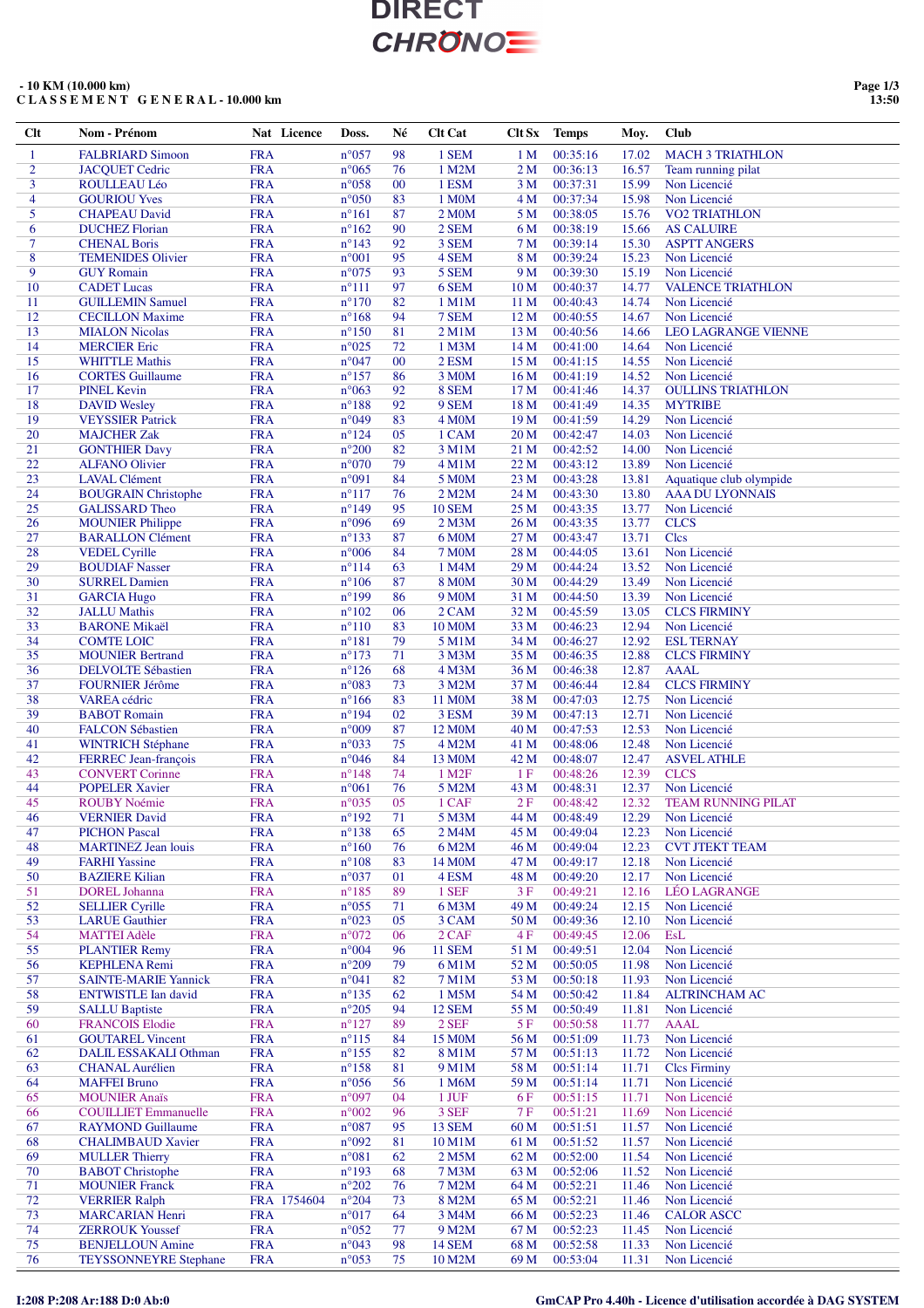### **- 10 KM (10.000 km) C L A S S E M E N T G E N E R A L - 10.000 km**

**Page 1/3 13:50**

| Clt                              | <b>Nom - Prénom</b>                                     | Nat Licence               | Doss.                            | Né       | <b>Clt Cat</b>              | Clt Sx                             | <b>Temps</b>              | Moy.           | <b>Club</b>                                     |
|----------------------------------|---------------------------------------------------------|---------------------------|----------------------------------|----------|-----------------------------|------------------------------------|---------------------------|----------------|-------------------------------------------------|
| $\mathbf{1}$                     | <b>FALBRIARD Simoon</b>                                 | <b>FRA</b>                | n°057                            | 98       | 1 SEM                       | 1 <sub>M</sub>                     | 00:35:16                  | 17.02          | <b>MACH 3 TRIATHLON</b>                         |
| $\overline{2}$                   | <b>JACOUET Cedric</b>                                   | <b>FRA</b>                | $n^{\circ}065$                   | 76       | 1 M2M                       | 2 M                                | 00:36:13                  | 16.57          | Team running pilat                              |
| $\overline{3}$<br>$\overline{4}$ | ROULLEAU Léo                                            | <b>FRA</b>                | $n^{\circ}058$                   | 00       | 1 ESM                       | 3 M                                | 00:37:31                  | 15.99          | Non Licencié                                    |
| 5                                | <b>GOURIOU Yves</b><br><b>CHAPEAU David</b>             | <b>FRA</b><br><b>FRA</b>  | $n^{\circ}050$<br>$n^{\circ}161$ | 83<br>87 | 1 M0M<br>2 M <sub>0</sub> M | 4 M<br>5 M                         | 00:37:34<br>00:38:05      | 15.98<br>15.76 | Non Licencié<br><b>VO2 TRIATHLON</b>            |
| 6                                | <b>DUCHEZ Florian</b>                                   | <b>FRA</b>                | $n^{\circ}162$                   | 90       | 2 SEM                       | 6 M                                | 00:38:19                  | 15.66          | <b>AS CALUIRE</b>                               |
| $\tau$                           | <b>CHENAL Boris</b>                                     | <b>FRA</b>                | $n^{\circ}143$                   | 92       | 3 SEM                       | 7 M                                | 00:39:14                  | 15.30          | <b>ASPTT ANGERS</b>                             |
| 8                                | <b>TEMENIDES Olivier</b>                                | <b>FRA</b>                | $n^{\circ}001$                   | 95       | 4 SEM                       | 8 M                                | 00:39:24                  | 15.23          | Non Licencié                                    |
| 9                                | <b>GUY Romain</b>                                       | <b>FRA</b>                | $n^{\circ}075$                   | 93       | 5 SEM                       | 9 M                                | 00:39:30                  | 15.19          | Non Licencié                                    |
| 10<br>11                         | <b>CADET</b> Lucas<br><b>GUILLEMIN Samuel</b>           | <b>FRA</b><br><b>FRA</b>  | $n^{\circ}111$<br>$n^{\circ}170$ | 97<br>82 | 6 SEM<br>$1$ M $1$ M        | 10 <sub>M</sub><br>11 <sub>M</sub> | 00:40:37<br>00:40:43      | 14.77          | <b>VALENCE TRIATHLON</b>                        |
| 12                               | <b>CECILLON Maxime</b>                                  | <b>FRA</b>                | $n^{\circ}168$                   | 94       | 7 SEM                       | 12 M                               | 00:40:55                  | 14.74<br>14.67 | Non Licencié<br>Non Licencié                    |
| 13                               | <b>MIALON Nicolas</b>                                   | <b>FRA</b>                | $n^{\circ}150$                   | 81       | 2 M1M                       | 13 M                               | 00:40:56                  | 14.66          | <b>LEO LAGRANGE VIENNE</b>                      |
| 14                               | <b>MERCIER Eric</b>                                     | <b>FRA</b>                | $n^{\circ}025$                   | 72       | 1 M3M                       | 14 M                               | 00:41:00                  | 14.64          | Non Licencié                                    |
| 15                               | <b>WHITTLE Mathis</b>                                   | <b>FRA</b>                | n°047                            | 00       | 2 ESM                       | 15 M                               | 00:41:15                  | 14.55          | Non Licencié                                    |
| 16                               | <b>CORTES Guillaume</b>                                 | <b>FRA</b>                | $n^{\circ}157$                   | 86       | 3 M0M                       | 16 M                               | 00:41:19                  | 14.52          | Non Licencié                                    |
| 17<br>18                         | <b>PINEL Kevin</b>                                      | <b>FRA</b><br><b>FRA</b>  | $n^{\circ}063$<br>$n^{\circ}188$ | 92<br>92 | 8 SEM<br>9 SEM              | 17 M<br>18 M                       | 00:41:46<br>00:41:49      | 14.37<br>14.35 | <b>OULLINS TRIATHLON</b><br><b>MYTRIBE</b>      |
| 19                               | <b>DAVID Wesley</b><br><b>VEYSSIER Patrick</b>          | <b>FRA</b>                | n°049                            | 83       | 4 M <sub>0</sub> M          | 19 M                               | 00:41:59                  | 14.29          | Non Licencié                                    |
| 20                               | <b>MAJCHER Zak</b>                                      | <b>FRA</b>                | $n^{\circ}124$                   | 05       | 1 CAM                       | 20 M                               | 00:42:47                  | 14.03          | Non Licencié                                    |
| 21                               | <b>GONTHIER Davy</b>                                    | <b>FRA</b>                | $n^{\circ}200$                   | 82       | 3 M1M                       | 21 M                               | 00:42:52                  | 14.00          | Non Licencié                                    |
| $22\,$                           | <b>ALFANO Olivier</b>                                   | <b>FRA</b>                | n°070                            | 79       | 4 M1M                       | 22 M                               | 00:43:12                  | 13.89          | Non Licencié                                    |
| 23                               | <b>LAVAL Clément</b>                                    | <b>FRA</b>                | n°091                            | 84       | 5 M0M                       | 23 M                               | 00:43:28                  | 13.81          | Aquatique club olympide                         |
| 24<br>25                         | <b>BOUGRAIN Christophe</b><br><b>GALISSARD Theo</b>     | <b>FRA</b><br><b>FRA</b>  | $n^{\circ}117$<br>$n^{\circ}149$ | 76<br>95 | 2 M2M<br><b>10 SEM</b>      | 24 M<br>25 M                       | 00:43:30<br>00:43:35      | 13.80<br>13.77 | <b>AAA DU LYONNAIS</b>                          |
| 26                               | <b>MOUNIER Philippe</b>                                 | <b>FRA</b>                | n°096                            | 69       | 2 M3M                       | 26 M                               | 00:43:35                  | 13.77          | Non Licencié<br><b>CLCS</b>                     |
| 27                               | <b>BARALLON Clément</b>                                 | <b>FRA</b>                | $n^{\circ}133$                   | 87       | 6 M <sub>0</sub> M          | 27 M                               | 00:43:47                  | 13.71          | <b>Clcs</b>                                     |
| 28                               | <b>VEDEL Cyrille</b>                                    | <b>FRA</b>                | $n^{\circ}006$                   | 84       | <b>7 M0M</b>                | 28 M                               | 00:44:05                  | 13.61          | Non Licencié                                    |
| 29                               | <b>BOUDIAF Nasser</b>                                   | <b>FRA</b>                | $n^{\circ}114$                   | 63       | 1 M4M                       | 29 M                               | 00:44:24                  | 13.52          | Non Licencié                                    |
| 30                               | <b>SURREL Damien</b>                                    | <b>FRA</b>                | $n^{\circ}106$                   | 87       | <b>8 MOM</b>                | 30 M                               | 00:44:29                  | 13.49          | Non Licencié                                    |
| 31                               | <b>GARCIA Hugo</b>                                      | <b>FRA</b>                | $n^{\circ}199$                   | 86       | 9 M <sub>0</sub> M          | 31 M                               | 00:44:50                  | 13.39          | Non Licencié                                    |
| 32<br>33                         | <b>JALLU</b> Mathis<br><b>BARONE Mikaël</b>             | <b>FRA</b><br><b>FRA</b>  | $n^{\circ}102$<br>$n^{\circ}110$ | 06<br>83 | 2 CAM<br>10 M0M             | 32 M<br>33 M                       | 00:45:59<br>00:46:23      | 13.05<br>12.94 | <b>CLCS FIRMINY</b><br>Non Licencié             |
| 34                               | <b>COMTE LOIC</b>                                       | <b>FRA</b>                | $n^{\circ}181$                   | 79       | 5 M1M                       | 34 M                               | 00:46:27                  | 12.92          | <b>ESL TERNAY</b>                               |
| 35                               | <b>MOUNIER Bertrand</b>                                 | <b>FRA</b>                | $n^{\circ}173$                   | 71       | 3 M3M                       | 35 M                               | 00:46:35                  | 12.88          | <b>CLCS FIRMINY</b>                             |
| 36                               | <b>DELVOLTE Sébastien</b>                               | <b>FRA</b>                | $n^{\circ}126$                   | 68       | 4 M3M                       | 36 M                               | 00:46:38                  | 12.87          | <b>AAAL</b>                                     |
| 37                               | <b>FOURNIER Jérôme</b>                                  | <b>FRA</b>                | n°083                            | 73       | 3 M2M                       | 37 M                               | 00:46:44                  | 12.84          | <b>CLCS FIRMINY</b>                             |
| 38<br>39                         | VAREA cédric<br><b>BABOT</b> Romain                     | <b>FRA</b><br><b>FRA</b>  | $n^{\circ}166$<br>$n^{\circ}194$ | 83<br>02 | 11 M0M<br>3 ESM             | 38 M<br>39 M                       | 00:47:03<br>00:47:13      | 12.75<br>12.71 | Non Licencié<br>Non Licencié                    |
| 40                               | <b>FALCON Sébastien</b>                                 | <b>FRA</b>                | n°009                            | 87       | 12 M <sub>0</sub> M         | 40 M                               | 00:47:53                  | 12.53          | Non Licencié                                    |
| 41                               | <b>WINTRICH Stéphane</b>                                | <b>FRA</b>                | n°033                            | 75       | 4 M2M                       | 41 M                               | 00:48:06                  | 12.48          | Non Licencié                                    |
| 42                               | FERREC Jean-françois                                    | <b>FRA</b>                | $n^{\circ}046$                   | 84       | 13 M <sub>0</sub> M         | 42 M                               | 00:48:07                  | 12.47          | <b>ASVEL ATHLE</b>                              |
| 43                               | <b>CONVERT Corinne</b>                                  | <b>FRA</b>                | $n^{\circ}148$                   | 74       | 1 M <sub>2</sub> F          | 1F                                 | 00:48:26                  | 12.39          | <b>CLCS</b>                                     |
| 44                               | <b>POPELER Xavier</b>                                   | <b>FRA</b>                | $n^{\circ}061$                   | 76       | 5 M2M                       | 43 M                               | 00:48:31                  | 12.37          | Non Licencié                                    |
| 45<br>46                         | <b>ROUBY Noémie</b><br><b>VERNIER David</b>             | <b>FRA</b><br><b>FRA</b>  | $n^{\circ}035$<br>$n^{\circ}192$ | 05<br>71 | 1 CAF<br>5 M3M              | 2F                                 | 00:48:42<br>44 M 00:48:49 | 12.32          | <b>TEAM RUNNING PILAT</b><br>12.29 Non Licencié |
| 47                               | <b>PICHON Pascal</b>                                    | <b>FRA</b>                | $n^{\circ}138$                   | 65       | 2 M4M                       | 45 M                               | 00:49:04                  | 12.23          | Non Licencié                                    |
| 48                               | <b>MARTINEZ Jean louis</b>                              | <b>FRA</b>                | $n^{\circ}160$                   | 76       | 6 M2M                       | 46 M                               | 00:49:04                  | 12.23          | <b>CVT JTEKT TEAM</b>                           |
| 49                               | <b>FARHI</b> Yassine                                    | <b>FRA</b>                | $n^{\circ}108$                   | 83       | 14 M <sub>O</sub> M         | 47 M                               | 00:49:17                  | 12.18          | Non Licencié                                    |
| 50                               | <b>BAZIERE Kilian</b>                                   | <b>FRA</b>                | n°037                            | 01       | 4 ESM                       | 48 M                               | 00:49:20                  | 12.17          | Non Licencié                                    |
| 51                               | <b>DOREL Johanna</b>                                    | <b>FRA</b>                | $n^{\circ}185$                   | 89       | 1 SEF                       | 3F                                 | 00:49:21                  | 12.16          | <b>LÉO LAGRANGE</b>                             |
| 52<br>53                         | <b>SELLIER Cyrille</b><br><b>LARUE</b> Gauthier         | <b>FRA</b><br><b>FRA</b>  | $n^{\circ}055$<br>$n^{\circ}023$ | 71<br>05 | 6 M3M<br>3 CAM              | 49 M<br>50 M                       | 00:49:24<br>00:49:36      | 12.15<br>12.10 | Non Licencié<br>Non Licencié                    |
| 54                               | <b>MATTEI Adèle</b>                                     | <b>FRA</b>                | $n^{\circ}072$                   | 06       | 2 CAF                       | 4F                                 | 00:49:45                  | 12.06          | <b>EsL</b>                                      |
| 55                               | <b>PLANTIER Remy</b>                                    | <b>FRA</b>                | $n^{\circ}004$                   | 96       | <b>11 SEM</b>               | 51 M                               | 00:49:51                  | 12.04          | Non Licencié                                    |
| 56                               | <b>KEPHLENA Remi</b>                                    | <b>FRA</b>                | $n^{\circ}209$                   | 79       | 6 M1M                       | 52 M                               | 00:50:05                  | 11.98          | Non Licencié                                    |
| 57                               | <b>SAINTE-MARIE Yannick</b>                             | <b>FRA</b>                | $n^{\circ}041$                   | 82       | 7 M1M                       | 53 M                               | 00:50:18                  | 11.93          | Non Licencié                                    |
| 58<br>59                         | <b>ENTWISTLE Ian david</b>                              | <b>FRA</b>                | $n^{\circ}135$                   | 62       | 1 M5M                       | 54 M                               | 00:50:42                  | 11.84          | <b>ALTRINCHAM AC</b>                            |
| 60                               | <b>SALLU Baptiste</b><br><b>FRANCOIS Elodie</b>         | <b>FRA</b><br><b>FRA</b>  | $n^{\circ}205$<br>$n^{\circ}127$ | 94<br>89 | <b>12 SEM</b><br>2 SEF      | 55 M<br>5F                         | 00:50:49<br>00:50:58      | 11.81<br>11.77 | Non Licencié<br><b>AAAL</b>                     |
| 61                               | <b>GOUTAREL Vincent</b>                                 | <b>FRA</b>                | $n^{\circ}115$                   | 84       | 15 M <sub>0</sub> M         | 56 M                               | 00:51:09                  | 11.73          | Non Licencié                                    |
| 62                               | DALIL ESSAKALI Othman                                   | <b>FRA</b>                | $n^{\circ}155$                   | 82       | 8 M1M                       | 57 M                               | 00:51:13                  | 11.72          | Non Licencié                                    |
| 63                               | <b>CHANAL Aurélien</b>                                  | <b>FRA</b>                | $n^{\circ}158$                   | 81       | 9 M1M                       | 58 M                               | 00:51:14                  | 11.71          | <b>Clcs Firminy</b>                             |
| 64                               | <b>MAFFEI Bruno</b>                                     | <b>FRA</b>                | $n^{\circ}056$                   | 56       | 1 M6M                       | 59 M                               | 00:51:14                  | 11.71          | Non Licencié                                    |
| 65                               | <b>MOUNIER Anaïs</b>                                    | <b>FRA</b>                | n°097                            | 04       | 1 JUF                       | 6 F                                | 00:51:15                  | 11.71          | Non Licencié                                    |
| 66<br>67                         | <b>COUILLIET</b> Emmanuelle<br><b>RAYMOND Guillaume</b> | <b>FRA</b><br><b>FRA</b>  | $n^{\circ}002$<br>$n^{\circ}087$ | 96<br>95 | 3 SEF<br><b>13 SEM</b>      | 7 F<br>60 M                        | 00:51:21<br>00:51:51      | 11.69<br>11.57 | Non Licencié<br>Non Licencié                    |
| 68                               | <b>CHALIMBAUD Xavier</b>                                | <b>FRA</b>                | n°092                            | 81       | 10 M1M                      | 61 M                               | 00:51:52                  | 11.57          | Non Licencié                                    |
| 69                               | <b>MULLER Thierry</b>                                   | <b>FRA</b>                | $n^{\circ}081$                   | 62       | 2 M5M                       | 62 M                               | 00:52:00                  | 11.54          | Non Licencié                                    |
| 70                               | <b>BABOT</b> Christophe                                 | <b>FRA</b>                | $n^{\circ}193$                   | 68       | 7 M3M                       | 63 M                               | 00:52:06                  | 11.52          | Non Licencié                                    |
| 71                               | <b>MOUNIER Franck</b>                                   | <b>FRA</b>                | $n^{\circ}202$                   | 76       | 7 M2M                       | 64 M                               | 00:52:21                  | 11.46          | Non Licencié                                    |
| 72                               | <b>VERRIER Ralph</b>                                    | FRA 1754604<br><b>FRA</b> | $n^{\circ}204$<br>$n^{\circ}017$ | 73       | 8 M2M                       | 65 M                               | 00:52:21                  | 11.46          | Non Licencié                                    |
| 73<br>74                         | <b>MARCARIAN Henri</b><br><b>ZERROUK Youssef</b>        | <b>FRA</b>                | $n^{\circ}052$                   | 64<br>77 | 3 M4M<br>9 M2M              | 66 M<br>67 M                       | 00:52:23<br>00:52:23      | 11.46<br>11.45 | <b>CALOR ASCC</b><br>Non Licencié               |
| 75                               | <b>BENJELLOUN Amine</b>                                 | <b>FRA</b>                | n°043                            | 98       | <b>14 SEM</b>               | 68 M                               | 00:52:58                  | 11.33          | Non Licencié                                    |
| 76                               | <b>TEYSSONNEYRE Stephane</b>                            | <b>FRA</b>                | $n^{\circ}053$                   | 75       | 10 M2M                      | 69 M                               | 00:53:04                  | 11.31          | Non Licencié                                    |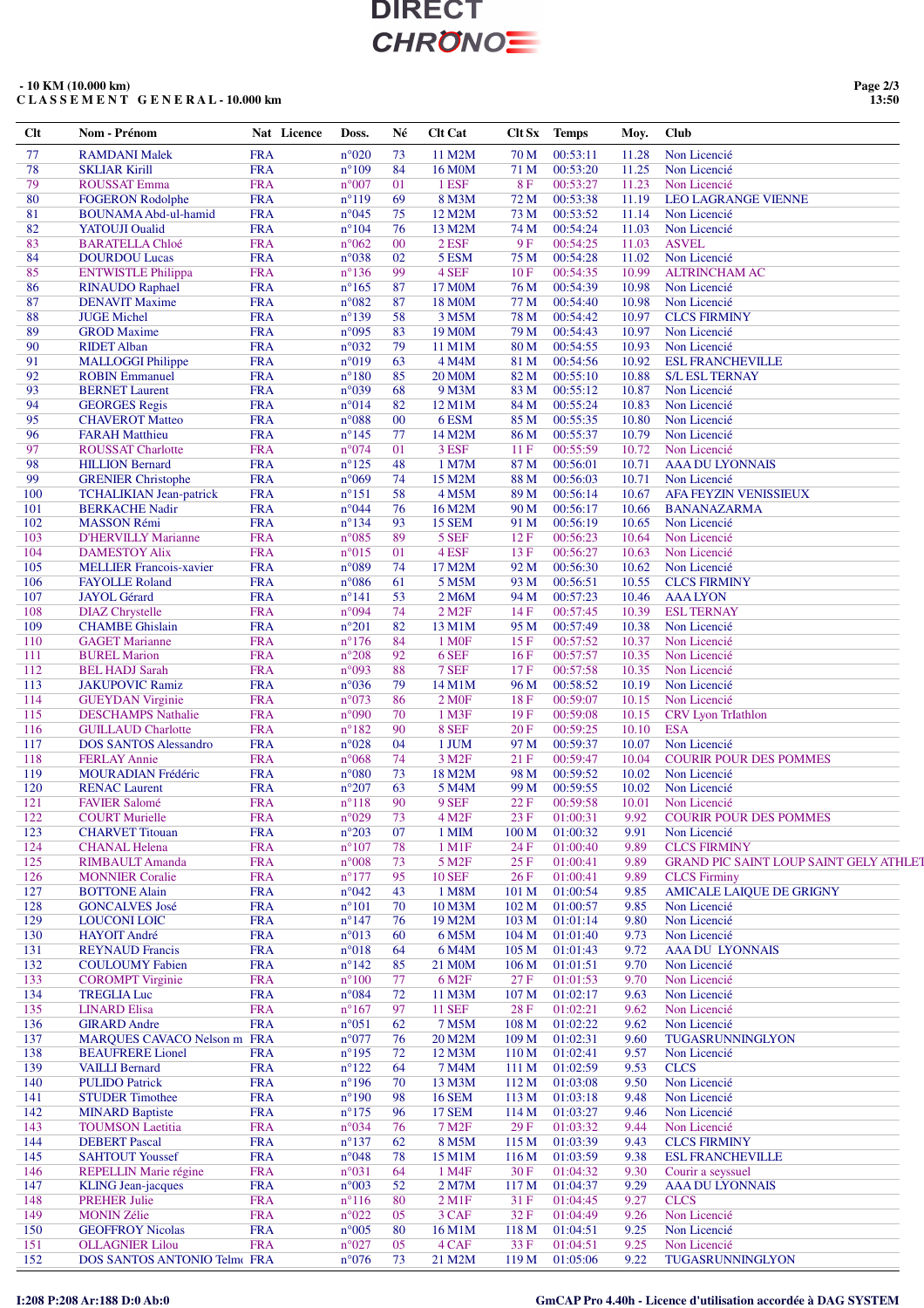### **- 10 KM (10.000 km) C L A S S E M E N T G E N E R A L - 10.000 km**

| Clt | Nom - Prénom                   | Nat Licence | Doss.           | Né | <b>Clt Cat</b>         | Clt Sx           | <b>Temps</b> | Moy.  | <b>Club</b>                                   |
|-----|--------------------------------|-------------|-----------------|----|------------------------|------------------|--------------|-------|-----------------------------------------------|
| 77  | <b>RAMDANI Malek</b>           | <b>FRA</b>  | $n^{\circ}020$  | 73 | 11 M2M                 | 70 M             | 00:53:11     | 11.28 | Non Licencié                                  |
| 78  | <b>SKLIAR Kirill</b>           | <b>FRA</b>  | $n^{\circ}109$  | 84 | 16 M <sub>0</sub> M    | 71 M             | 00:53:20     | 11.25 | Non Licencié                                  |
| 79  | <b>ROUSSAT Emma</b>            | <b>FRA</b>  | $n^{\circ}007$  | 01 | 1 ESF                  | 8F               | 00:53:27     | 11.23 | Non Licencié                                  |
| 80  |                                | <b>FRA</b>  | $n^{\circ}119$  |    |                        |                  |              |       |                                               |
|     | <b>FOGERON Rodolphe</b>        |             |                 | 69 | 8 M3M                  | 72 M             | 00:53:38     | 11.19 | <b>LEO LAGRANGE VIENNE</b>                    |
| 81  | <b>BOUNAMA Abd-ul-hamid</b>    | <b>FRA</b>  | $n^{\circ}045$  | 75 | 12 M2M                 | 73 M             | 00:53:52     | 11.14 | Non Licencié                                  |
| 82  | <b>YATOUJI</b> Oualid          | <b>FRA</b>  | $n^{\circ}104$  | 76 | 13 M2M                 | 74 M             | 00:54:24     | 11.03 | Non Licencié                                  |
| 83  | <b>BARATELLA Chloé</b>         | <b>FRA</b>  | $n^{\circ}062$  | 00 | 2 ESF                  | 9F               | 00:54:25     | 11.03 | <b>ASVEL</b>                                  |
| 84  | <b>DOURDOU Lucas</b>           | <b>FRA</b>  | n°038           | 02 | 5 ESM                  | 75 M             | 00:54:28     | 11.02 | Non Licencié                                  |
| 85  | <b>ENTWISTLE Philippa</b>      | <b>FRA</b>  | $n^{\circ}136$  | 99 | 4 SEF                  | 10F              | 00:54:35     | 10.99 | <b>ALTRINCHAM AC</b>                          |
| 86  | <b>RINAUDO Raphael</b>         | <b>FRA</b>  | $n^{\circ}165$  | 87 | 17 M0M                 | 76 M             | 00:54:39     | 10.98 | Non Licencié                                  |
|     |                                |             |                 |    |                        |                  |              |       |                                               |
| 87  | <b>DENAVIT Maxime</b>          | <b>FRA</b>  | $n^{\circ}082$  | 87 | 18 M0M                 | 77 M             | 00:54:40     | 10.98 | Non Licencié                                  |
| 88  | <b>JUGE Michel</b>             | <b>FRA</b>  | $n^{\circ}139$  | 58 | 3 M5M                  | 78 M             | 00:54:42     | 10.97 | <b>CLCS FIRMINY</b>                           |
| 89  | <b>GROD</b> Maxime             | <b>FRA</b>  | n°095           | 83 | 19 M <sub>0</sub> M    | 79 M             | 00:54:43     | 10.97 | Non Licencié                                  |
| 90  | <b>RIDET Alban</b>             | <b>FRA</b>  | n°032           | 79 | 11 M1M                 | 80 M             | 00:54:55     | 10.93 | Non Licencié                                  |
| 91  | <b>MALLOGGI Philippe</b>       | <b>FRA</b>  | n°019           | 63 | 4 M4M                  | 81 M             | 00:54:56     | 10.92 | <b>ESL FRANCHEVILLE</b>                       |
| 92  | <b>ROBIN Emmanuel</b>          | <b>FRA</b>  | $n^{\circ}180$  | 85 | <b>20 M0M</b>          | 82 M             | 00:55:10     | 10.88 | <b>S/L ESL TERNAY</b>                         |
| 93  |                                |             |                 | 68 |                        |                  |              |       |                                               |
|     | <b>BERNET Laurent</b>          | <b>FRA</b>  | n°039           |    | 9 M3M                  | 83 M             | 00:55:12     | 10.87 | Non Licencié                                  |
| 94  | <b>GEORGES</b> Regis           | <b>FRA</b>  | n°014           | 82 | 12 M1M                 | 84 M             | 00:55:24     | 10.83 | Non Licencié                                  |
| 95  | <b>CHAVEROT Matteo</b>         | <b>FRA</b>  | n°088           | 00 | 6ESM                   | 85 M             | 00:55:35     | 10.80 | Non Licencié                                  |
| 96  | <b>FARAH</b> Matthieu          | <b>FRA</b>  | $n^{\circ}145$  | 77 | 14 M2M                 | 86 M             | 00:55:37     | 10.79 | Non Licencié                                  |
| 97  | <b>ROUSSAT Charlotte</b>       | <b>FRA</b>  | n°074           | 01 | 3 ESF                  | 11F              | 00:55:59     | 10.72 | Non Licencié                                  |
| 98  |                                |             |                 |    |                        |                  |              |       |                                               |
|     | <b>HILLION Bernard</b>         | <b>FRA</b>  | $n^{\circ}125$  | 48 | 1 M7M                  | 87 M             | 00:56:01     | 10.71 | <b>AAA DU LYONNAIS</b>                        |
| 99  | <b>GRENIER Christophe</b>      | <b>FRA</b>  | n°069           | 74 | 15 M2M                 | 88 M             | 00:56:03     | 10.71 | Non Licencié                                  |
| 100 | <b>TCHALIKIAN Jean-patrick</b> | <b>FRA</b>  | $n^{\circ}151$  | 58 | 4 M5M                  | 89 M             | 00:56:14     | 10.67 | <b>AFA FEYZIN VENISSIEUX</b>                  |
| 101 | <b>BERKACHE Nadir</b>          | <b>FRA</b>  | $n^{\circ}044$  | 76 | 16 M2M                 | 90 M             | 00:56:17     | 10.66 | <b>BANANAZARMA</b>                            |
| 102 | <b>MASSON Rémi</b>             | <b>FRA</b>  | $n^{\circ}134$  | 93 | <b>15 SEM</b>          | 91 M             | 00:56:19     | 10.65 | Non Licencié                                  |
|     |                                |             |                 |    |                        |                  |              |       |                                               |
| 103 | <b>D'HERVILLY Marianne</b>     | <b>FRA</b>  | $n^{\circ}085$  | 89 | 5 SEF                  | 12F              | 00:56:23     | 10.64 | Non Licencié                                  |
| 104 | <b>DAMESTOY Alix</b>           | <b>FRA</b>  | $n^{\circ}015$  | 01 | 4 ESF                  | 13F              | 00:56:27     | 10.63 | Non Licencié                                  |
| 105 | <b>MELLIER Francois-xavier</b> | <b>FRA</b>  | n°089           | 74 | 17 M2M                 | 92 M             | 00:56:30     | 10.62 | Non Licencié                                  |
| 106 | <b>FAYOLLE Roland</b>          | <b>FRA</b>  | $n^{\circ}086$  | 61 | 5 M5M                  | 93 M             | 00:56:51     | 10.55 | <b>CLCS FIRMINY</b>                           |
| 107 | <b>JAYOL</b> Gérard            | <b>FRA</b>  | $n^{\circ}141$  | 53 | 2 M6M                  | 94 M             | 00:57:23     | 10.46 | <b>AAA LYON</b>                               |
|     |                                |             |                 |    |                        |                  |              |       |                                               |
| 108 | <b>DIAZ</b> Chrystelle         | <b>FRA</b>  | n°094           | 74 | $2$ M <sub>2</sub> $F$ | 14 F             | 00:57:45     | 10.39 | <b>ESL TERNAY</b>                             |
| 109 | <b>CHAMBE Ghislain</b>         | <b>FRA</b>  | $n^{\circ}201$  | 82 | 13 M1M                 | 95 M             | 00:57:49     | 10.38 | Non Licencié                                  |
| 110 | <b>GAGET Marianne</b>          | <b>FRA</b>  | $n^{\circ}176$  | 84 | 1 M <sub>OF</sub>      | 15F              | 00:57:52     | 10.37 | Non Licencié                                  |
| 111 | <b>BUREL Marion</b>            | <b>FRA</b>  | $n^{\circ}208$  | 92 | 6 SEF                  | 16F              | 00:57:57     | 10.35 | Non Licencié                                  |
| 112 | <b>BEL HADJ Sarah</b>          | <b>FRA</b>  | n°093           | 88 | 7 SEF                  | 17F              | 00:57:58     | 10.35 | Non Licencié                                  |
|     |                                |             |                 |    |                        |                  |              |       |                                               |
| 113 | <b>JAKUPOVIC Ramiz</b>         | <b>FRA</b>  | n°036           | 79 | 14 M1M                 | 96 M             | 00:58:52     | 10.19 | Non Licencié                                  |
| 114 | <b>GUEYDAN Virginie</b>        | <b>FRA</b>  | n°073           | 86 | 2 M0F                  | 18F              | 00:59:07     | 10.15 | Non Licencié                                  |
| 115 | <b>DESCHAMPS Nathalie</b>      | <b>FRA</b>  | n°090           | 70 | 1 M3F                  | 19F              | 00:59:08     | 10.15 | <b>CRV</b> Lyon TrIathlon                     |
| 116 | <b>GUILLAUD Charlotte</b>      | <b>FRA</b>  | $n^{\circ}182$  | 90 | 8 SEF                  | 20F              | 00:59:25     | 10.10 | <b>ESA</b>                                    |
| 117 | <b>DOS SANTOS Alessandro</b>   | <b>FRA</b>  | $n^{\circ}028$  | 04 | 1 JUM                  | 97 M             | 00:59:37     | 10.07 | Non Licencié                                  |
| 118 | <b>FERLAY Annie</b>            | <b>FRA</b>  | $n^{\circ}068$  | 74 | 3 M <sub>2F</sub>      | 21F              | 00:59:47     | 10.04 | <b>COURIR POUR DES POMMES</b>                 |
|     |                                |             |                 |    |                        |                  |              |       |                                               |
| 119 | MOURADIAN Frédéric             | <b>FRA</b>  | $n^{\circ}080$  | 73 | 18 M2M                 | 98 M             | 00:59:52     | 10.02 | Non Licencié                                  |
| 120 | <b>RENAC Laurent</b>           | <b>FRA</b>  | $n^{\circ}207$  | 63 | 5 M4M                  | 99 M             | 00:59:55     | 10.02 | Non Licencié                                  |
| 121 | <b>FAVIER Salomé</b>           | <b>FRA</b>  | $n^{\circ}118$  | 90 | 9 SEF                  | 22F              | 00:59:58     | 10.01 | Non Licencié                                  |
| 122 | <b>COURT Murielle</b>          | <b>FRA</b>  | n°029           | 73 | 4 M <sub>2F</sub>      | 23F              | 01:00:31     | 9.92  | <b>COURIR POUR DES POMMES</b>                 |
| 123 | <b>CHARVET</b> Titouan         | <b>FRA</b>  | $n^{\circ}203$  | 07 | 1 MIM                  | 100 M            | 01:00:32     | 9.91  | Non Licencié                                  |
|     |                                |             |                 |    |                        |                  |              |       |                                               |
| 124 | <b>CHANAL Helena</b>           | <b>FRA</b>  | $n^{\circ}107$  | 78 | 1 M1F                  | 24 F             | 01:00:40     | 9.89  | <b>CLCS FIRMINY</b>                           |
| 125 | <b>RIMBAULT Amanda</b>         | <b>FRA</b>  | $n^{\circ}008$  | 73 | 5 M <sub>2F</sub>      | 25F              | 01:00:41     | 9.89  | <b>GRAND PIC SAINT LOUP SAINT GELY ATHLET</b> |
| 126 | <b>MONNIER Coralie</b>         | <b>FRA</b>  | $n^{\circ}177$  | 95 | <b>10 SEF</b>          | 26F              | 01:00:41     | 9.89  | <b>CLCS</b> Firminy                           |
| 127 | <b>BOTTONE Alain</b>           | <b>FRA</b>  | $n^{\circ}042$  | 43 | 1 M8M                  | 101 <sub>M</sub> | 01:00:54     | 9.85  | <b>AMICALE LAIQUE DE GRIGNY</b>               |
| 128 | <b>GONCALVES José</b>          | <b>FRA</b>  | $n^{\circ}101$  | 70 | 10 M3M                 | 102 <sub>M</sub> | 01:00:57     | 9.85  | Non Licencié                                  |
|     |                                |             |                 |    |                        |                  |              |       |                                               |
| 129 | <b>LOUCONI LOIC</b>            | <b>FRA</b>  | $n^{\circ}$ 147 | 76 | 19 M2M                 | 103 M            | 01:01:14     | 9.80  | Non Licencié                                  |
| 130 | <b>HAYOIT André</b>            | <b>FRA</b>  | n°013           | 60 | 6 M5M                  | 104 M            | 01:01:40     | 9.73  | Non Licencié                                  |
| 131 | <b>REYNAUD Francis</b>         | <b>FRA</b>  | $n^{\circ}018$  | 64 | 6 M4M                  | 105 M            | 01:01:43     | 9.72  | AAA DU LYONNAIS                               |
| 132 | <b>COULOUMY Fabien</b>         | <b>FRA</b>  | $n^{\circ}142$  | 85 | 21 M <sub>0</sub> M    | 106 <sub>M</sub> | 01:01:51     | 9.70  | Non Licencié                                  |
| 133 | <b>COROMPT</b> Virginie        | <b>FRA</b>  | $n^{\circ}100$  | 77 | 6 M <sub>2F</sub>      | 27F              | 01:01:53     | 9.70  | Non Licencié                                  |
| 134 | <b>TREGLIA Luc</b>             |             |                 |    |                        |                  |              |       |                                               |
|     |                                | <b>FRA</b>  | $n^{\circ}084$  | 72 | 11 M3M                 | 107 <sub>M</sub> | 01:02:17     | 9.63  | Non Licencié                                  |
| 135 | <b>LINARD Elisa</b>            | <b>FRA</b>  | $n^{\circ}167$  | 97 | <b>11 SEF</b>          | 28 F             | 01:02:21     | 9.62  | Non Licencié                                  |
| 136 | <b>GIRARD Andre</b>            | <b>FRA</b>  | $n^{\circ}051$  | 62 | 7 M5M                  | 108 M            | 01:02:22     | 9.62  | Non Licencié                                  |
| 137 | MARQUES CAVACO Nelson m FRA    |             | $n^{\circ}077$  | 76 | 20 M2M                 | 109 M            | 01:02:31     | 9.60  | TUGASRUNNINGLYON                              |
| 138 | <b>BEAUFRERE</b> Lionel        | <b>FRA</b>  | $n^{\circ}195$  | 72 | 12 M3M                 | 110 M            | 01:02:41     | 9.57  | Non Licencié                                  |
|     |                                |             |                 |    |                        |                  |              |       |                                               |
| 139 | <b>VAILLI Bernard</b>          | <b>FRA</b>  | $n^{\circ}122$  | 64 | 7 M4M                  | 111 M            | 01:02:59     | 9.53  | <b>CLCS</b>                                   |
| 140 | <b>PULIDO Patrick</b>          | <b>FRA</b>  | $n^{\circ}196$  | 70 | 13 M3M                 | 112 M            | 01:03:08     | 9.50  | Non Licencié                                  |
| 141 | <b>STUDER Timothee</b>         | <b>FRA</b>  | $n^{\circ}190$  | 98 | <b>16 SEM</b>          | 113 M            | 01:03:18     | 9.48  | Non Licencié                                  |
| 142 | <b>MINARD Baptiste</b>         | <b>FRA</b>  | $n^{\circ}175$  | 96 | <b>17 SEM</b>          | 114 M            | 01:03:27     | 9.46  | Non Licencié                                  |
| 143 | <b>TOUMSON Laetitia</b>        | <b>FRA</b>  | $n^{\circ}034$  | 76 | 7 M <sub>2F</sub>      | 29F              | 01:03:32     | 9.44  | Non Licencié                                  |
|     |                                |             |                 |    |                        |                  |              |       |                                               |
| 144 | <b>DEBERT</b> Pascal           | <b>FRA</b>  | $n^{\circ}137$  | 62 | 8 M5M                  | 115M             | 01:03:39     | 9.43  | <b>CLCS FIRMINY</b>                           |
| 145 | <b>SAHTOUT Youssef</b>         | <b>FRA</b>  | $n^{\circ}048$  | 78 | 15 M1M                 | 116 M            | 01:03:59     | 9.38  | <b>ESL FRANCHEVILLE</b>                       |
| 146 | <b>REPELLIN Marie régine</b>   | <b>FRA</b>  | n°031           | 64 | 1 M4F                  | 30F              | 01:04:32     | 9.30  | Courir a seyssuel                             |
| 147 | <b>KLING</b> Jean-jacques      | <b>FRA</b>  | n°003           | 52 | 2 M7M                  | 117 M            | 01:04:37     | 9.29  | <b>AAA DU LYONNAIS</b>                        |
| 148 | <b>PREHER Julie</b>            | <b>FRA</b>  | $n^{\circ}116$  | 80 | $2$ M1F                | 31 F             | 01:04:45     | 9.27  | <b>CLCS</b>                                   |
|     |                                |             |                 |    |                        |                  |              |       |                                               |
| 149 | <b>MONIN Zélie</b>             | <b>FRA</b>  | $n^{\circ}022$  | 05 | 3 CAF                  | 32F              | 01:04:49     | 9.26  | Non Licencié                                  |
| 150 | <b>GEOFFROY Nicolas</b>        | <b>FRA</b>  | $n^{\circ}005$  | 80 | 16 M1M                 | 118 M            | 01:04:51     | 9.25  | Non Licencié                                  |
| 151 | <b>OLLAGNIER Lilou</b>         | <b>FRA</b>  | $n^{\circ}027$  | 05 | 4 CAF                  | 33 F             | 01:04:51     | 9.25  | Non Licencié                                  |
| 152 | DOS SANTOS ANTONIO Telmo FRA   |             | $n^{\circ}076$  | 73 | 21 M2M                 | 119 M            | 01:05:06     | 9.22  | TUGASRUNNINGLYON                              |
|     |                                |             |                 |    |                        |                  |              |       |                                               |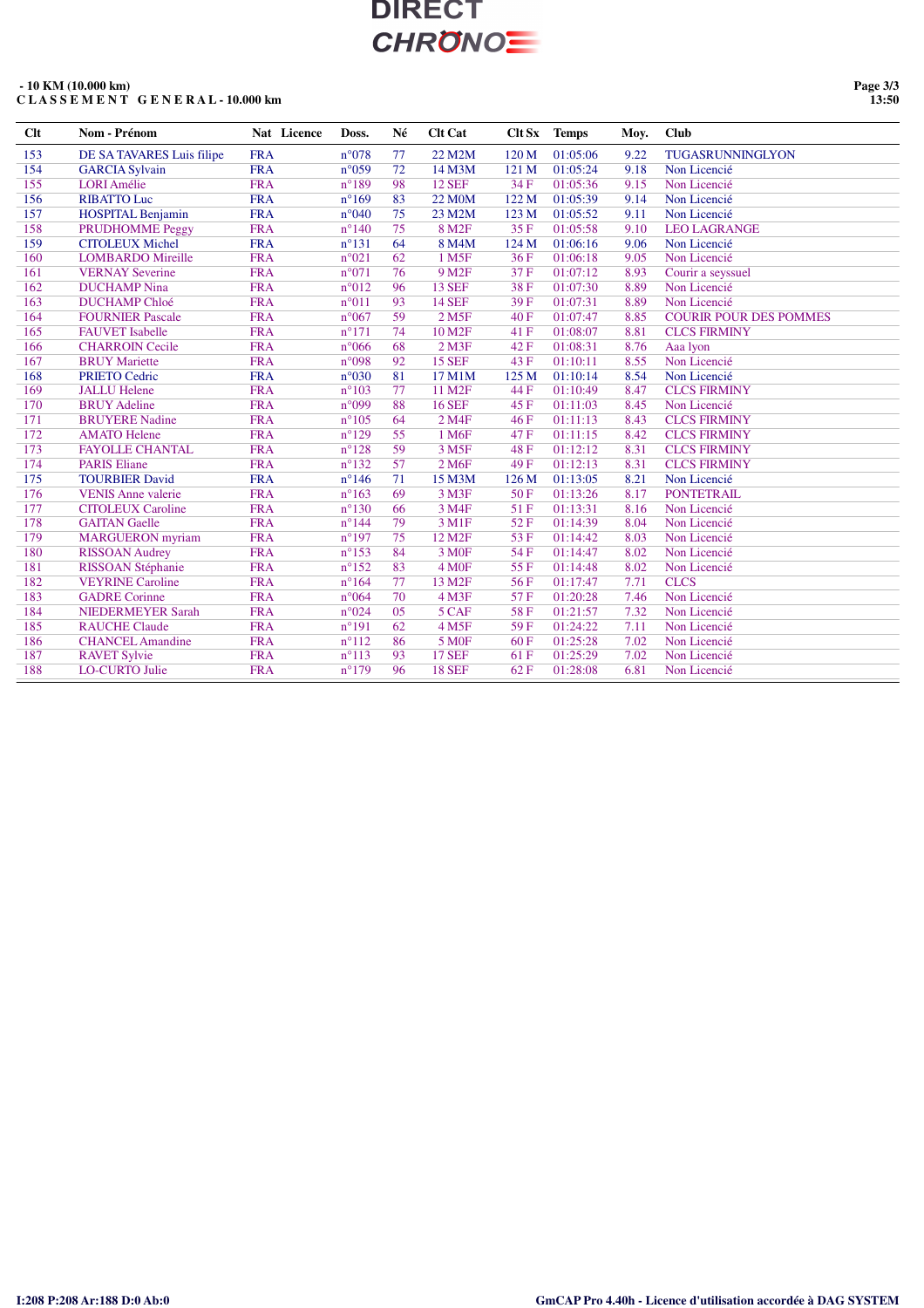### **- 10 KM (10.000 km) C L A S S E M E N T G E N E R A L - 10.000 km**

**Page 3/3 13:50**

| Clt | Nom - Prénom              | Nat Licence | Doss.           | Né | <b>Clt Cat</b>     | Clt Sx | <b>Temps</b> | Moy. | <b>Club</b>                   |
|-----|---------------------------|-------------|-----------------|----|--------------------|--------|--------------|------|-------------------------------|
| 153 | DE SA TAVARES Luis filipe | <b>FRA</b>  | $n^{\circ}078$  | 77 | 22 M2M             | 120 M  | 01:05:06     | 9.22 | TUGASRUNNINGLYON              |
| 154 | <b>GARCIA Sylvain</b>     | <b>FRA</b>  | $n^{\circ}059$  | 72 | 14 M3M             | 121 M  | 01:05:24     | 9.18 | Non Licencié                  |
| 155 | <b>LORI</b> Amélie        | <b>FRA</b>  | $n^{\circ}189$  | 98 | <b>12 SEF</b>      | 34 F   | 01:05:36     | 9.15 | Non Licencié                  |
| 156 | <b>RIBATTO Luc</b>        | <b>FRA</b>  | $n^{\circ}169$  | 83 | <b>22 MOM</b>      | 122 M  | 01:05:39     | 9.14 | Non Licencié                  |
| 157 | <b>HOSPITAL Benjamin</b>  | <b>FRA</b>  | $n^{\circ}040$  | 75 | 23 M2M             | 123 M  | 01:05:52     | 9.11 | Non Licencié                  |
| 158 | PRUDHOMME Peggy           | <b>FRA</b>  | $n^{\circ}140$  | 75 | 8 M <sub>2F</sub>  | 35F    | 01:05:58     | 9.10 | <b>LEO LAGRANGE</b>           |
| 159 | <b>CITOLEUX Michel</b>    | <b>FRA</b>  | $n^{\circ}131$  | 64 | 8 M4M              | 124 M  | 01:06:16     | 9.06 | Non Licencié                  |
| 160 | <b>LOMBARDO</b> Mireille  | <b>FRA</b>  | n°021           | 62 | 1 M <sub>5F</sub>  | 36F    | 01:06:18     | 9.05 | Non Licencié                  |
| 161 | <b>VERNAY Severine</b>    | <b>FRA</b>  | n°071           | 76 | 9 M <sub>2F</sub>  | 37F    | 01:07:12     | 8.93 | Courir a seyssuel             |
| 162 | <b>DUCHAMP</b> Nina       | <b>FRA</b>  | $n^{\circ}012$  | 96 | <b>13 SEF</b>      | 38F    | 01:07:30     | 8.89 | Non Licencié                  |
| 163 | <b>DUCHAMP Chloé</b>      | <b>FRA</b>  | $n^{\circ}011$  | 93 | <b>14 SEF</b>      | 39F    | 01:07:31     | 8.89 | Non Licencié                  |
| 164 | <b>FOURNIER Pascale</b>   | <b>FRA</b>  | $n^{\circ}067$  | 59 | 2 M <sub>5F</sub>  | 40F    | 01:07:47     | 8.85 | <b>COURIR POUR DES POMMES</b> |
| 165 | <b>FAUVET</b> Isabelle    | <b>FRA</b>  | $n^{\circ}171$  | 74 | 10 M <sub>2F</sub> | 41 F   | 01:08:07     | 8.81 | <b>CLCS FIRMINY</b>           |
| 166 | <b>CHARROIN Cecile</b>    | <b>FRA</b>  | $n^{\circ}066$  | 68 | $2$ M $3F$         | 42F    | 01:08:31     | 8.76 | Aaa lyon                      |
| 167 | <b>BRUY</b> Mariette      | <b>FRA</b>  | n°098           | 92 | <b>15 SEF</b>      | 43 F   | 01:10:11     | 8.55 | Non Licencié                  |
| 168 | <b>PRIETO Cedric</b>      | <b>FRA</b>  | $n^{\circ}030$  | 81 | 17 M1M             | 125 M  | 01:10:14     | 8.54 | Non Licencié                  |
| 169 | <b>JALLU Helene</b>       | <b>FRA</b>  | $n^{\circ}103$  | 77 | 11 M2F             | 44 F   | 01:10:49     | 8.47 | <b>CLCS FIRMINY</b>           |
| 170 | <b>BRUY</b> Adeline       | <b>FRA</b>  | n°099           | 88 | <b>16 SEF</b>      | 45 F   | 01:11:03     | 8.45 | Non Licencié                  |
| 171 | <b>BRUYERE</b> Nadine     | <b>FRA</b>  | $n^{\circ}105$  | 64 | 2 M4F              | 46 F   | 01:11:13     | 8.43 | <b>CLCS FIRMINY</b>           |
| 172 | <b>AMATO</b> Helene       | <b>FRA</b>  | $n^{\circ}129$  | 55 | 1 M6F              | 47 F   | 01:11:15     | 8.42 | <b>CLCS FIRMINY</b>           |
| 173 | <b>FAYOLLE CHANTAL</b>    | <b>FRA</b>  | $n^{\circ}128$  | 59 | 3 M <sub>5F</sub>  | 48 F   | 01:12:12     | 8.31 | <b>CLCS FIRMINY</b>           |
| 174 | <b>PARIS Eliane</b>       | <b>FRA</b>  | $n^{\circ}132$  | 57 | 2 M <sub>6F</sub>  | 49 F   | 01:12:13     | 8.31 | <b>CLCS FIRMINY</b>           |
| 175 | <b>TOURBIER David</b>     | <b>FRA</b>  | $n^{\circ}$ 146 | 71 | 15 M3M             | 126 M  | 01:13:05     | 8.21 | Non Licencié                  |
| 176 | <b>VENIS Anne valerie</b> | <b>FRA</b>  | $n^{\circ}163$  | 69 | 3 M3F              | 50F    | 01:13:26     | 8.17 | <b>PONTETRAIL</b>             |
| 177 | <b>CITOLEUX Caroline</b>  | <b>FRA</b>  | $n^{\circ}130$  | 66 | 3 M4F              | 51F    | 01:13:31     | 8.16 | Non Licencié                  |
| 178 | <b>GAITAN Gaelle</b>      | <b>FRA</b>  | $n^{\circ}$ 144 | 79 | 3 M1F              | 52F    | 01:14:39     | 8.04 | Non Licencié                  |
| 179 | <b>MARGUERON</b> myriam   | <b>FRA</b>  | $n^{\circ}197$  | 75 | 12 M <sub>2F</sub> | 53 F   | 01:14:42     | 8.03 | Non Licencié                  |
| 180 | <b>RISSOAN</b> Audrey     | <b>FRA</b>  | $n^{\circ}153$  | 84 | 3 M <sub>OF</sub>  | 54 F   | 01:14:47     | 8.02 | Non Licencié                  |
| 181 | RISSOAN Stéphanie         | <b>FRA</b>  | $n^{\circ}152$  | 83 | 4 M <sub>OF</sub>  | 55F    | 01:14:48     | 8.02 | Non Licencié                  |
| 182 | <b>VEYRINE Caroline</b>   | <b>FRA</b>  | $n^{\circ}164$  | 77 | 13 M <sub>2F</sub> | 56 F   | 01:17:47     | 7.71 | <b>CLCS</b>                   |
| 183 | <b>GADRE</b> Corinne      | <b>FRA</b>  | $n^{\circ}064$  | 70 | 4 M3F              | 57F    | 01:20:28     | 7.46 | Non Licencié                  |
| 184 | <b>NIEDERMEYER Sarah</b>  | <b>FRA</b>  | n°024           | 05 | 5 CAF              | 58F    | 01:21:57     | 7.32 | Non Licencié                  |
| 185 | <b>RAUCHE Claude</b>      | <b>FRA</b>  | $n^{\circ}191$  | 62 | 4 M <sub>5F</sub>  | 59F    | 01:24:22     | 7.11 | Non Licencié                  |
| 186 | <b>CHANCEL Amandine</b>   | <b>FRA</b>  | $n^{\circ}112$  | 86 | <b>5 MOF</b>       | 60F    | 01:25:28     | 7.02 | Non Licencié                  |
| 187 | <b>RAVET Sylvie</b>       | <b>FRA</b>  | $n^{\circ}113$  | 93 | <b>17 SEF</b>      | 61 F   | 01:25:29     | 7.02 | Non Licencié                  |
| 188 | <b>LO-CURTO Julie</b>     | <b>FRA</b>  | $n^{\circ}179$  | 96 | <b>18 SEF</b>      | 62F    | 01:28:08     | 6.81 | Non Licencié                  |